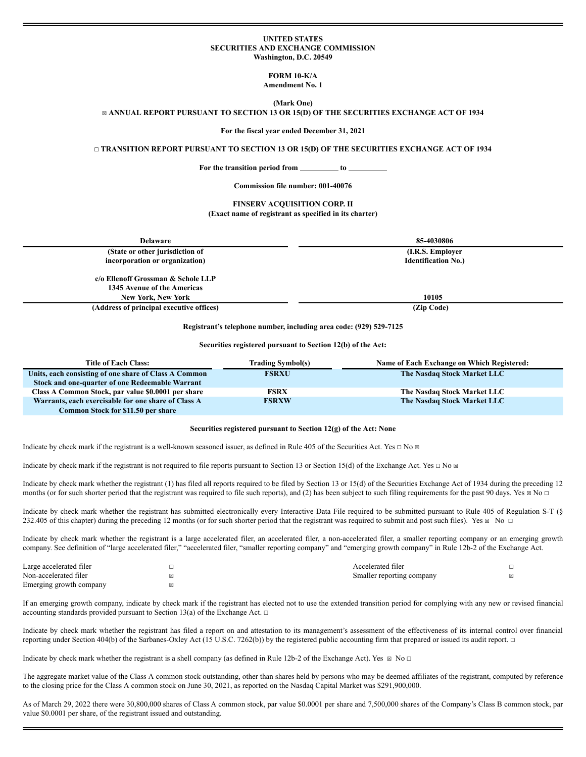#### **UNITED STATES SECURITIES AND EXCHANGE COMMISSION Washington, D.C. 20549**

### **FORM 10-K/A Amendment No. 1**

#### **(Mark One)**

☒ **ANNUAL REPORT PURSUANT TO SECTION 13 OR 15(D) OF THE SECURITIES EXCHANGE ACT OF 1934**

**For the fiscal year ended December 31, 2021**

☐ **TRANSITION REPORT PURSUANT TO SECTION 13 OR 15(D) OF THE SECURITIES EXCHANGE ACT OF 1934**

**For the transition period from to**

**Commission file number: 001-40076**

#### **FINSERV ACQUISITION CORP. II (Exact name of registrant as specified in its charter)**

| <b>Delaware</b>                          | 85-4030806                 |
|------------------------------------------|----------------------------|
| (State or other jurisdiction of          | (I.R.S. Employer           |
| incorporation or organization)           | <b>Identification No.)</b> |
| c/o Ellenoff Grossman & Schole LLP       |                            |
| 1345 Avenue of the Americas              |                            |
| <b>New York, New York</b>                | 10105                      |
| (Address of principal executive offices) | (Zip Code)                 |
|                                          |                            |

**Registrant's telephone number, including area code: (929) 529-7125**

## **Securities registered pursuant to Section 12(b) of the Act:**

| <b>Title of Each Class:</b>                            | <b>Trading Symbol(s)</b> | Name of Each Exchange on Which Registered: |
|--------------------------------------------------------|--------------------------|--------------------------------------------|
| Units, each consisting of one share of Class A Common  | <b>FSRXU</b>             | The Nasdaq Stock Market LLC                |
| <b>Stock and one-quarter of one Redeemable Warrant</b> |                          |                                            |
| Class A Common Stock, par value \$0.0001 per share     | <b>FSRX</b>              | The Nasdaq Stock Market LLC                |
| Warrants, each exercisable for one share of Class A    | <b>FSRXW</b>             | The Nasdaq Stock Market LLC                |
| Common Stock for \$11.50 per share                     |                          |                                            |

#### **Securities registered pursuant to Section 12(g) of the Act: None**

Indicate by check mark if the registrant is a well-known seasoned issuer, as defined in Rule 405 of the Securities Act. Yes □ No ⊠

Indicate by check mark if the registrant is not required to file reports pursuant to Section 13 or Section 15(d) of the Exchange Act. Yes  $\Box$  No  $\Box$ 

Indicate by check mark whether the registrant (1) has filed all reports required to be filed by Section 13 or 15(d) of the Securities Exchange Act of 1934 during the preceding 12 months (or for such shorter period that the registrant was required to file such reports), and (2) has been subject to such filing requirements for the past 90 days. Yes  $\boxtimes$  No  $\Box$ 

Indicate by check mark whether the registrant has submitted electronically every Interactive Data File required to be submitted pursuant to Rule 405 of Regulation S-T (§ 232.405 of this chapter) during the preceding 12 months (or for such shorter period that the registrant was required to submit and post such files). Yes ⊠ No □

Indicate by check mark whether the registrant is a large accelerated filer, an accelerated filer, a non-accelerated filer, a smaller reporting company or an emerging growth company. See definition of "large accelerated filer," "accelerated filer, "smaller reporting company" and "emerging growth company" in Rule 12b-2 of the Exchange Act.

| Large accelerated filer | Accelerated filer         |  |
|-------------------------|---------------------------|--|
| Non-accelerated filer   | Smaller reporting company |  |
| Emerging growth company |                           |  |

If an emerging growth company, indicate by check mark if the registrant has elected not to use the extended transition period for complying with any new or revised financial accounting standards provided pursuant to Section 13(a) of the Exchange Act.  $\Box$ 

Indicate by check mark whether the registrant has filed a report on and attestation to its management's assessment of the effectiveness of its internal control over financial reporting under Section 404(b) of the Sarbanes-Oxley Act (15 U.S.C. 7262(b)) by the registered public accounting firm that prepared or issued its audit report. □

Indicate by check mark whether the registrant is a shell company (as defined in Rule 12b-2 of the Exchange Act). Yes  $\boxtimes$  No  $\Box$ 

The aggregate market value of the Class A common stock outstanding, other than shares held by persons who may be deemed affiliates of the registrant, computed by reference to the closing price for the Class A common stock on June 30, 2021, as reported on the Nasdaq Capital Market was \$291,900,000.

As of March 29, 2022 there were 30,800,000 shares of Class A common stock, par value \$0.0001 per share and 7,500,000 shares of the Company's Class B common stock, par value \$0.0001 per share, of the registrant issued and outstanding.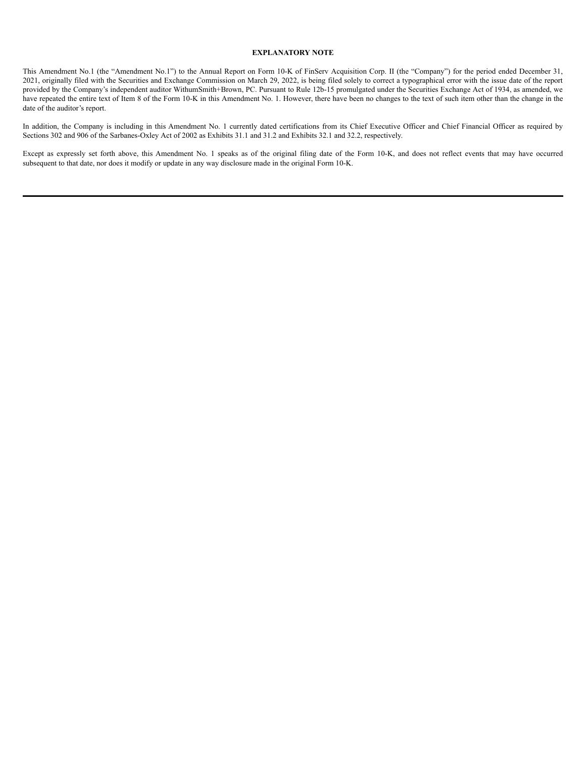## **EXPLANATORY NOTE**

This Amendment No.1 (the "Amendment No.1") to the Annual Report on Form 10-K of FinServ Acquisition Corp. II (the "Company") for the period ended December 31, 2021, originally filed with the Securities and Exchange Commission on March 29, 2022, is being filed solely to correct a typographical error with the issue date of the report provided by the Company's independent auditor WithumSmith+Brown, PC. Pursuant to Rule 12b-15 promulgated under the Securities Exchange Act of 1934, as amended, we have repeated the entire text of Item 8 of the Form 10-K in this Amendment No. 1. However, there have been no changes to the text of such item other than the change in the date of the auditor's report.

In addition, the Company is including in this Amendment No. 1 currently dated certifications from its Chief Executive Officer and Chief Financial Officer as required by Sections 302 and 906 of the Sarbanes-Oxley Act of 2002 as Exhibits 31.1 and 31.2 and Exhibits 32.1 and 32.2, respectively.

Except as expressly set forth above, this Amendment No. 1 speaks as of the original filing date of the Form 10-K, and does not reflect events that may have occurred subsequent to that date, nor does it modify or update in any way disclosure made in the original Form 10-K.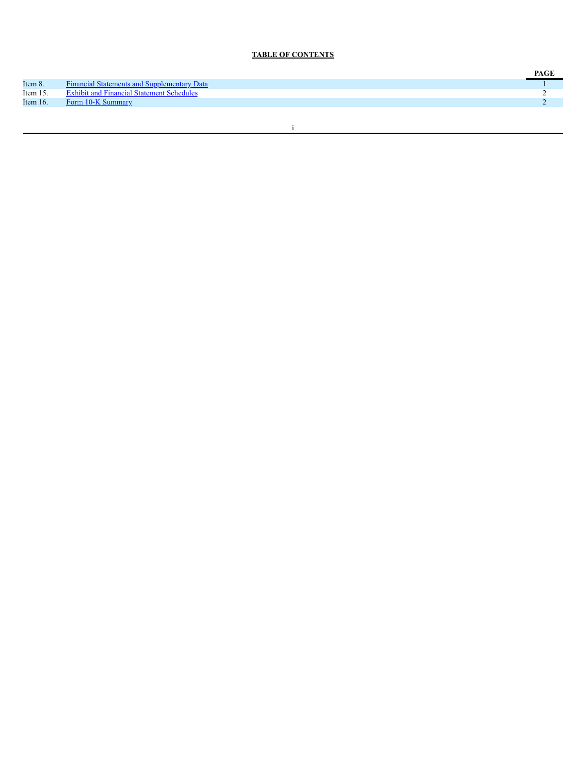# **TABLE OF CONTENTS**

|            |                                                    | <b>PAGE</b> |
|------------|----------------------------------------------------|-------------|
| Item 8.    | <b>Financial Statements and Supplementary Data</b> |             |
| Item 15.   | <b>Exhibit and Financial Statement Schedules</b>   |             |
| Item $16.$ | Form 10-K Summary                                  |             |
|            |                                                    |             |

i and the contract of the contract of the contract of the contract of the contract of the contract of the contract of the contract of the contract of the contract of the contract of the contract of the contract of the cont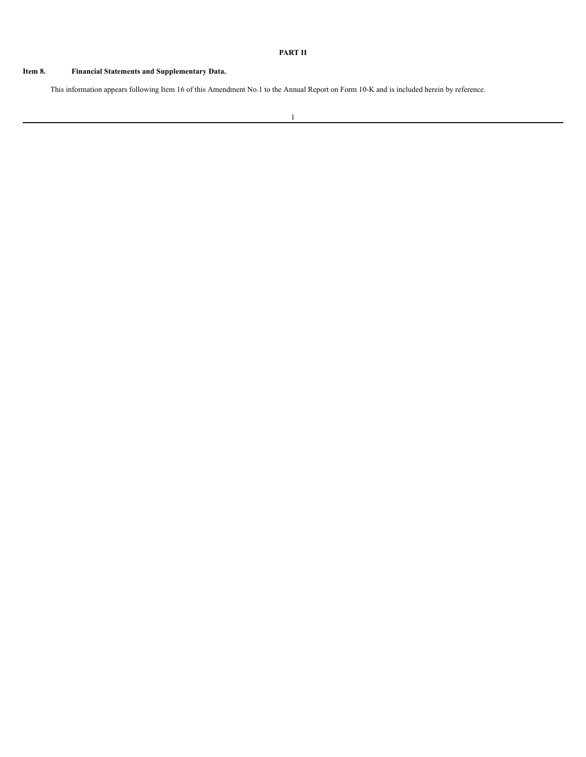# **PART II**

# <span id="page-4-0"></span>**Item 8. Financial Statements and Supplementary Data.**

This information appears following Item 16 of this Amendment No.1 to the Annual Report on Form 10-K and is included herein by reference.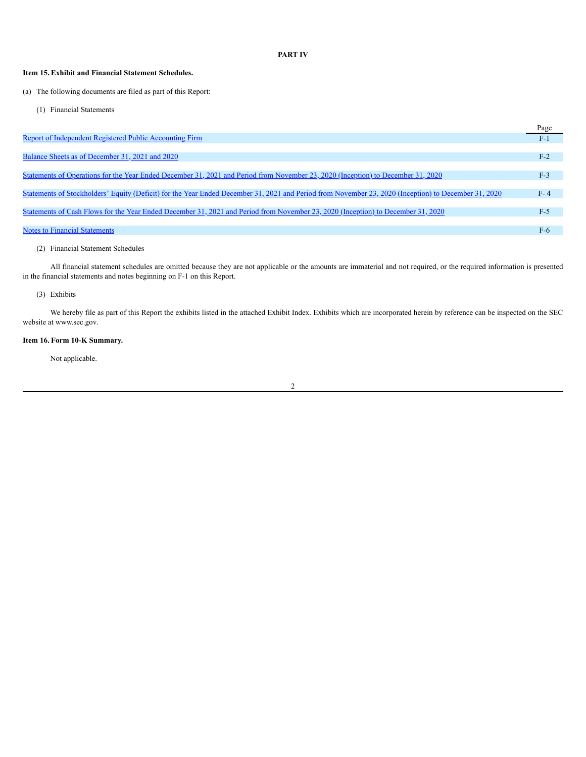## **PART IV**

## <span id="page-5-0"></span>**Item 15. Exhibit and Financial Statement Schedules.**

(a) The following documents are filed as part of this Report:

(1) Financial Statements

|                                                                                                                                                      | Page    |
|------------------------------------------------------------------------------------------------------------------------------------------------------|---------|
| Report of Independent Registered Public Accounting Firm                                                                                              | $F-1$   |
|                                                                                                                                                      |         |
| Balance Sheets as of December 31, 2021 and 2020                                                                                                      | $F-2$   |
|                                                                                                                                                      |         |
| Statements of Operations for the Year Ended December 31, 2021 and Period from November 23, 2020 (Inception) to December 31, 2020                     | $F-3$   |
|                                                                                                                                                      |         |
| Statements of Stockholders' Equity (Deficit) for the Year Ended December 31, 2021 and Period from November 23, 2020 (Inception) to December 31, 2020 | $F - 4$ |
|                                                                                                                                                      |         |
| Statements of Cash Flows for the Year Ended December 31, 2021 and Period from November 23, 2020 (Inception) to December 31, 2020                     | $F-5$   |
|                                                                                                                                                      |         |
| <b>Notes to Financial Statements</b>                                                                                                                 | $F-6$   |

## (2) Financial Statement Schedules

All financial statement schedules are omitted because they are not applicable or the amounts are immaterial and not required, or the required information is presented in the financial statements and notes beginning on F-1 on this Report.

## (3) Exhibits

We hereby file as part of this Report the exhibits listed in the attached Exhibit Index. Exhibits which are incorporated herein by reference can be inspected on the SEC website at www.sec.gov.

### <span id="page-5-1"></span>**Item 16. Form 10-K Summary.**

Not applicable.

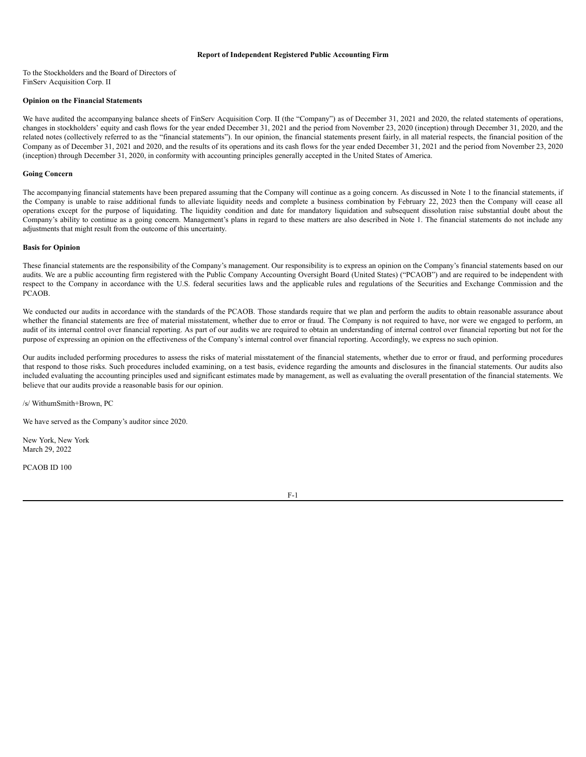#### **Report of Independent Registered Public Accounting Firm**

<span id="page-6-0"></span>To the Stockholders and the Board of Directors of FinServ Acquisition Corp. II

#### **Opinion on the Financial Statements**

We have audited the accompanying balance sheets of FinServ Acquisition Corp. II (the "Company") as of December 31, 2021 and 2020, the related statements of operations, changes in stockholders' equity and cash flows for the year ended December 31, 2021 and the period from November 23, 2020 (inception) through December 31, 2020, and the related notes (collectively referred to as the "financial statements"). In our opinion, the financial statements present fairly, in all material respects, the financial position of the Company as of December 31, 2021 and 2020, and the results of its operations and its cash flows for the year ended December 31, 2021 and the period from November 23, 2020 (inception) through December 31, 2020, in conformity with accounting principles generally accepted in the United States of America.

#### **Going Concern**

The accompanying financial statements have been prepared assuming that the Company will continue as a going concern. As discussed in Note 1 to the financial statements, if the Company is unable to raise additional funds to alleviate liquidity needs and complete a business combination by February 22, 2023 then the Company will cease all operations except for the purpose of liquidating. The liquidity condition and date for mandatory liquidation and subsequent dissolution raise substantial doubt about the Company's ability to continue as a going concern. Management's plans in regard to these matters are also described in Note 1. The financial statements do not include any adjustments that might result from the outcome of this uncertainty.

## **Basis for Opinion**

These financial statements are the responsibility of the Company's management. Our responsibility is to express an opinion on the Company's financial statements based on our audits. We are a public accounting firm registered with the Public Company Accounting Oversight Board (United States) ("PCAOB") and are required to be independent with respect to the Company in accordance with the U.S. federal securities laws and the applicable rules and regulations of the Securities and Exchange Commission and the PCAOB.

We conducted our audits in accordance with the standards of the PCAOB. Those standards require that we plan and perform the audits to obtain reasonable assurance about whether the financial statements are free of material misstatement, whether due to error or fraud. The Company is not required to have, nor were we engaged to perform, an audit of its internal control over financial reporting. As part of our audits we are required to obtain an understanding of internal control over financial reporting but not for the purpose of expressing an opinion on the effectiveness of the Company's internal control over financial reporting. Accordingly, we express no such opinion.

Our audits included performing procedures to assess the risks of material misstatement of the financial statements, whether due to error or fraud, and performing procedures that respond to those risks. Such procedures included examining, on a test basis, evidence regarding the amounts and disclosures in the financial statements. Our audits also included evaluating the accounting principles used and significant estimates made by management, as well as evaluating the overall presentation of the financial statements. We believe that our audits provide a reasonable basis for our opinion.

/s/ WithumSmith+Brown, PC

We have served as the Company's auditor since 2020.

New York, New York March 29, 2022

PCAOB ID 100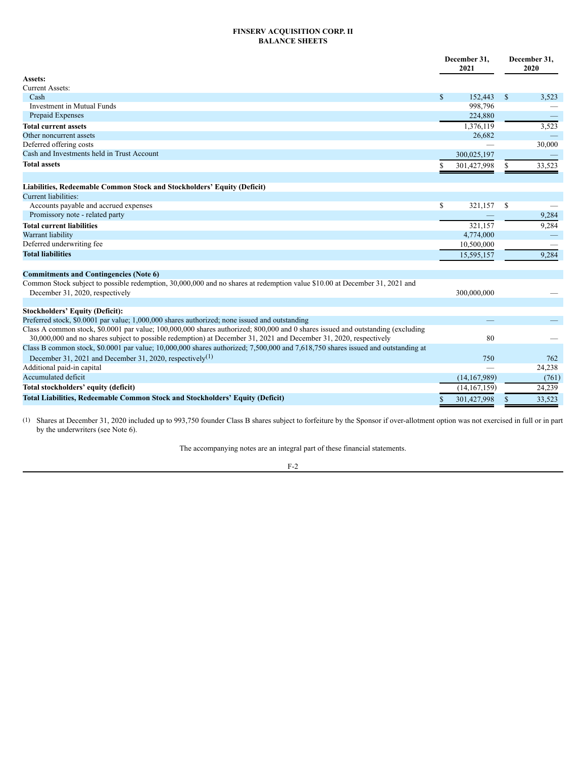# **FINSERV ACQUISITION CORP. II BALANCE SHEETS**

<span id="page-7-0"></span>

|                                                                                                                                                                                                                                                      |    | December 31,<br>2021 | December 31,<br>2020 |        |  |
|------------------------------------------------------------------------------------------------------------------------------------------------------------------------------------------------------------------------------------------------------|----|----------------------|----------------------|--------|--|
| <b>Assets:</b>                                                                                                                                                                                                                                       |    |                      |                      |        |  |
| Current Assets:                                                                                                                                                                                                                                      |    |                      |                      |        |  |
| Cash                                                                                                                                                                                                                                                 | \$ | 152,443              | <sup>\$</sup>        | 3,523  |  |
| Investment in Mutual Funds                                                                                                                                                                                                                           |    | 998,796              |                      |        |  |
| Prepaid Expenses                                                                                                                                                                                                                                     |    | 224,880              |                      |        |  |
| <b>Total current assets</b>                                                                                                                                                                                                                          |    | 1,376,119            |                      | 3,523  |  |
| Other noncurrent assets                                                                                                                                                                                                                              |    | 26,682               |                      |        |  |
| Deferred offering costs                                                                                                                                                                                                                              |    |                      |                      | 30,000 |  |
| Cash and Investments held in Trust Account                                                                                                                                                                                                           |    | 300,025,197          |                      |        |  |
| <b>Total assets</b>                                                                                                                                                                                                                                  |    | 301,427,998          | \$                   | 33,523 |  |
|                                                                                                                                                                                                                                                      |    |                      |                      |        |  |
| Liabilities, Redeemable Common Stock and Stockholders' Equity (Deficit)                                                                                                                                                                              |    |                      |                      |        |  |
| Current liabilities:                                                                                                                                                                                                                                 |    |                      |                      |        |  |
| Accounts payable and accrued expenses                                                                                                                                                                                                                | \$ | 321,157              | \$                   |        |  |
| Promissory note - related party                                                                                                                                                                                                                      |    |                      |                      | 9,284  |  |
| <b>Total current liabilities</b>                                                                                                                                                                                                                     |    | 321.157              |                      | 9,284  |  |
| Warrant liability                                                                                                                                                                                                                                    |    | 4,774,000            |                      |        |  |
| Deferred underwriting fee                                                                                                                                                                                                                            |    | 10,500,000           |                      |        |  |
| <b>Total liabilities</b>                                                                                                                                                                                                                             |    | 15,595,157           |                      | 9,284  |  |
|                                                                                                                                                                                                                                                      |    |                      |                      |        |  |
| <b>Commitments and Contingencies (Note 6)</b>                                                                                                                                                                                                        |    |                      |                      |        |  |
| Common Stock subject to possible redemption, 30,000,000 and no shares at redemption value \$10.00 at December 31, 2021 and                                                                                                                           |    |                      |                      |        |  |
| December 31, 2020, respectively                                                                                                                                                                                                                      |    | 300,000,000          |                      |        |  |
|                                                                                                                                                                                                                                                      |    |                      |                      |        |  |
| <b>Stockholders' Equity (Deficit):</b>                                                                                                                                                                                                               |    |                      |                      |        |  |
| Preferred stock, \$0.0001 par value; 1,000,000 shares authorized; none issued and outstanding                                                                                                                                                        |    |                      |                      |        |  |
| Class A common stock, \$0.0001 par value; 100,000,000 shares authorized; 800,000 and 0 shares issued and outstanding (excluding<br>30,000,000 and no shares subject to possible redemption) at December 31, 2021 and December 31, 2020, respectively |    | 80                   |                      |        |  |
| Class B common stock, \$0.0001 par value; 10,000,000 shares authorized; 7,500,000 and 7,618,750 shares issued and outstanding at                                                                                                                     |    |                      |                      |        |  |
| December 31, 2021 and December 31, 2020, respectively <sup>(1)</sup>                                                                                                                                                                                 |    | 750                  |                      | 762    |  |
| Additional paid-in capital                                                                                                                                                                                                                           |    |                      |                      | 24,238 |  |
| Accumulated deficit                                                                                                                                                                                                                                  |    | (14, 167, 989)       |                      | (761)  |  |
| Total stockholders' equity (deficit)                                                                                                                                                                                                                 |    | (14, 167, 159)       |                      | 24,239 |  |
| <b>Total Liabilities, Redeemable Common Stock and Stockholders' Equity (Deficit)</b>                                                                                                                                                                 |    |                      |                      |        |  |
|                                                                                                                                                                                                                                                      |    | 301,427,998          |                      | 33,523 |  |

(1) Shares at December 31, 2020 included up to 993,750 founder Class B shares subject to forfeiture by the Sponsor if over-allotment option was not exercised in full or in part by the underwriters (see Note 6).

The accompanying notes are an integral part of these financial statements.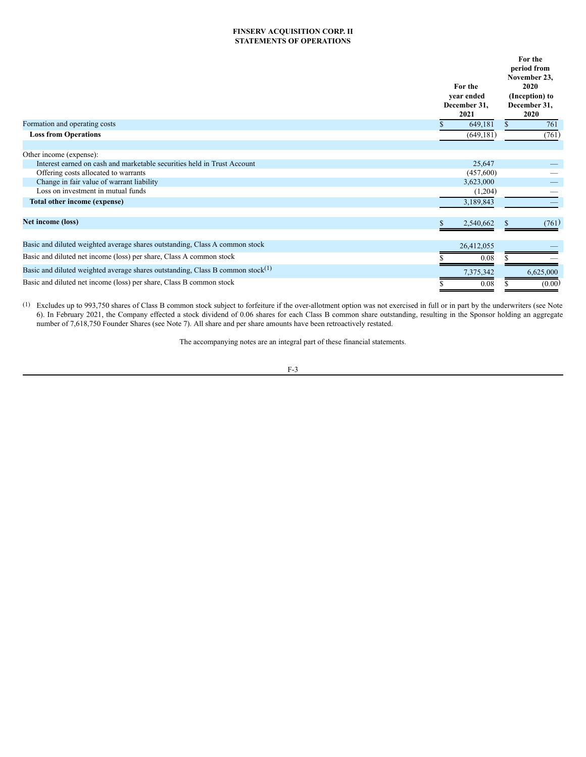## **FINSERV ACQUISITION CORP. II STATEMENTS OF OPERATIONS**

<span id="page-8-0"></span>

|                                                                                   | For the<br>vear ended<br>December 31,<br>2021 | For the<br>period from<br>November 23,<br>2020<br>(Inception) to<br>December 31,<br>2020 |  |  |
|-----------------------------------------------------------------------------------|-----------------------------------------------|------------------------------------------------------------------------------------------|--|--|
| Formation and operating costs                                                     | 649,181                                       | 761                                                                                      |  |  |
| <b>Loss from Operations</b>                                                       | (649, 181)                                    | (761)                                                                                    |  |  |
| Other income (expense):                                                           |                                               |                                                                                          |  |  |
| Interest earned on cash and marketable securities held in Trust Account           | 25,647                                        |                                                                                          |  |  |
| Offering costs allocated to warrants                                              | (457,600)                                     |                                                                                          |  |  |
| Change in fair value of warrant liability                                         | 3,623,000                                     |                                                                                          |  |  |
| Loss on investment in mutual funds                                                | (1,204)                                       |                                                                                          |  |  |
| Total other income (expense)                                                      | 3,189,843                                     |                                                                                          |  |  |
| Net income (loss)                                                                 | 2,540,662                                     | (761)<br><sup>S</sup>                                                                    |  |  |
|                                                                                   |                                               |                                                                                          |  |  |
| Basic and diluted weighted average shares outstanding, Class A common stock       | 26,412,055                                    |                                                                                          |  |  |
| Basic and diluted net income (loss) per share, Class A common stock               | 0.08                                          |                                                                                          |  |  |
| Basic and diluted weighted average shares outstanding, Class B common stock $(1)$ | 7,375,342                                     | 6,625,000                                                                                |  |  |
| Basic and diluted net income (loss) per share, Class B common stock               | 0.08                                          | (0.00)                                                                                   |  |  |

(1) Excludes up to 993,750 shares of Class B common stock subject to forfeiture if the over-allotment option was not exercised in full or in part by the underwriters (see Note 6). In February 2021, the Company effected a stock dividend of 0.06 shares for each Class B common share outstanding, resulting in the Sponsor holding an aggregate number of 7,618,750 Founder Shares (see Note 7). All share and per share amounts have been retroactively restated.

The accompanying notes are an integral part of these financial statements.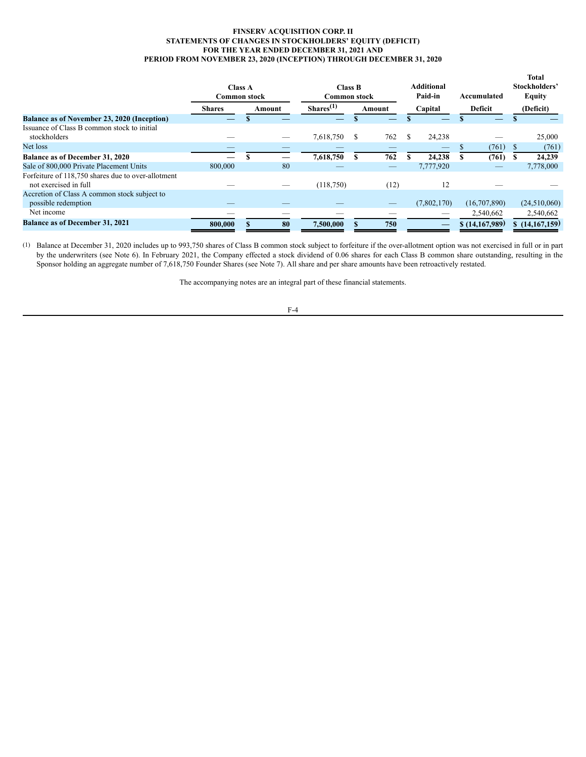## **FINSERV ACQUISITION CORP. II STATEMENTS OF CHANGES IN STOCKHOLDERS' EQUITY (DEFICIT) FOR THE YEAR ENDED DECEMBER 31, 2021 AND PERIOD FROM NOVEMBER 23, 2020 (INCEPTION) THROUGH DECEMBER 31, 2020**

<span id="page-9-0"></span>

|                                                    | Common stock  | Class A |        | <b>Common stock</b>   | <b>Class B</b> |        |    | <b>Additional</b><br>Paid-in | Accumulated    |          | <b>Total</b><br>Stockholders'<br><b>Equity</b> |
|----------------------------------------------------|---------------|---------|--------|-----------------------|----------------|--------|----|------------------------------|----------------|----------|------------------------------------------------|
|                                                    | <b>Shares</b> |         | Amount | Shares <sup>(1)</sup> |                | Amount |    | Capital                      | Deficit        |          | (Deficit)                                      |
| Balance as of November 23, 2020 (Inception)        |               |         |        |                       |                |        |    |                              |                |          |                                                |
| Issuance of Class B common stock to initial        |               |         |        |                       |                |        |    |                              |                |          |                                                |
| stockholders                                       |               |         |        | 7,618,750             | S              | 762    | -S | 24,238                       |                |          | 25,000                                         |
| Net loss                                           |               |         |        |                       |                |        |    |                              | (761)          | <b>S</b> | (761)                                          |
| <b>Balance as of December 31, 2020</b>             |               |         |        | 7,618,750             |                | 762    |    | 24,238                       | (761)          |          | 24,239                                         |
| Sale of 800,000 Private Placement Units            | 800,000       |         | 80     |                       |                |        |    | 7,777,920                    |                |          | 7,778,000                                      |
| Forfeiture of 118,750 shares due to over-allotment |               |         |        |                       |                |        |    |                              |                |          |                                                |
| not exercised in full                              |               |         |        | (118,750)             |                | (12)   |    | 12                           |                |          |                                                |
| Accretion of Class A common stock subject to       |               |         |        |                       |                |        |    |                              |                |          |                                                |
| possible redemption                                |               |         |        |                       |                |        |    | (7,802,170)                  | (16,707,890)   |          | (24,510,060)                                   |
| Net income                                         |               |         |        |                       |                |        |    |                              | 2,540,662      |          | 2,540,662                                      |
| <b>Balance as of December 31, 2021</b>             | 800,000       |         | 80     | 7,500,000             |                | 750    |    |                              | \$(14,167,989) |          | \$(14,167,159)                                 |

(1) Balance at December 31, 2020 includes up to 993,750 shares of Class B common stock subject to forfeiture if the over-allotment option was not exercised in full or in part by the underwriters (see Note 6). In February 2021, the Company effected a stock dividend of 0.06 shares for each Class B common share outstanding, resulting in the Sponsor holding an aggregate number of 7,618,750 Founder Shares (see Note 7). All share and per share amounts have been retroactively restated.

The accompanying notes are an integral part of these financial statements.

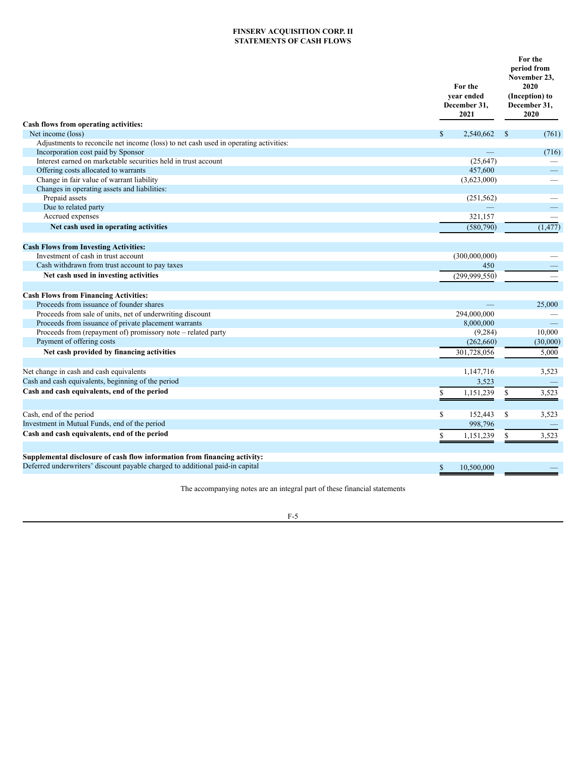## **FINSERV ACQUISITION CORP. II STATEMENTS OF CASH FLOWS**

<span id="page-10-0"></span>

|                                                                                      | For the<br>year ended<br>December 31,<br>2021 | For the<br>period from<br>November 23,<br>2020<br>(Inception) to<br>December 31,<br>2020 |  |  |
|--------------------------------------------------------------------------------------|-----------------------------------------------|------------------------------------------------------------------------------------------|--|--|
| Cash flows from operating activities:                                                |                                               |                                                                                          |  |  |
| Net income (loss)                                                                    | $\mathbb{S}$<br>2,540,662                     | \$<br>(761)                                                                              |  |  |
| Adjustments to reconcile net income (loss) to net cash used in operating activities: |                                               |                                                                                          |  |  |
| Incorporation cost paid by Sponsor                                                   |                                               | (716)                                                                                    |  |  |
| Interest earned on marketable securities held in trust account                       | (25, 647)                                     |                                                                                          |  |  |
| Offering costs allocated to warrants                                                 | 457,600                                       |                                                                                          |  |  |
| Change in fair value of warrant liability                                            | (3,623,000)                                   |                                                                                          |  |  |
| Changes in operating assets and liabilities:                                         |                                               |                                                                                          |  |  |
| Prepaid assets                                                                       | (251, 562)                                    |                                                                                          |  |  |
| Due to related party                                                                 |                                               |                                                                                          |  |  |
| Accrued expenses                                                                     | 321,157                                       |                                                                                          |  |  |
| Net cash used in operating activities                                                | (580, 790)                                    | (1, 477)                                                                                 |  |  |
| <b>Cash Flows from Investing Activities:</b>                                         |                                               |                                                                                          |  |  |
| Investment of cash in trust account                                                  | (300,000,000)                                 |                                                                                          |  |  |
| Cash withdrawn from trust account to pay taxes                                       | 450                                           |                                                                                          |  |  |
| Net cash used in investing activities                                                | (299,999,550)                                 |                                                                                          |  |  |
| <b>Cash Flows from Financing Activities:</b>                                         |                                               |                                                                                          |  |  |
| Proceeds from issuance of founder shares                                             |                                               | 25,000                                                                                   |  |  |
| Proceeds from sale of units, net of underwriting discount                            | 294,000,000                                   |                                                                                          |  |  |
| Proceeds from issuance of private placement warrants                                 | 8,000,000                                     |                                                                                          |  |  |
| Proceeds from (repayment of) promissory note - related party                         | (9, 284)                                      | 10,000                                                                                   |  |  |
| Payment of offering costs                                                            | (262,660)                                     | (30,000)                                                                                 |  |  |
| Net cash provided by financing activities                                            | 301,728,056                                   | 5,000                                                                                    |  |  |
| Net change in cash and cash equivalents                                              | 1,147,716                                     | 3,523                                                                                    |  |  |
| Cash and cash equivalents, beginning of the period                                   | 3,523                                         |                                                                                          |  |  |
| Cash and cash equivalents, end of the period                                         | \$                                            |                                                                                          |  |  |
|                                                                                      | 1,151,239                                     | \$<br>3,523                                                                              |  |  |
| Cash, end of the period                                                              | \$<br>152,443                                 | \$<br>3,523                                                                              |  |  |
| Investment in Mutual Funds, end of the period                                        | 998,796                                       |                                                                                          |  |  |
| Cash and cash equivalents, end of the period                                         | \$<br>1,151,239                               | \$<br>3,523                                                                              |  |  |
| Supplemental disclosure of cash flow information from financing activity:            |                                               |                                                                                          |  |  |
| Deferred underwriters' discount payable charged to additional paid-in capital        | \$<br>10,500,000                              |                                                                                          |  |  |
|                                                                                      |                                               |                                                                                          |  |  |

The accompanying notes are an integral part of these financial statements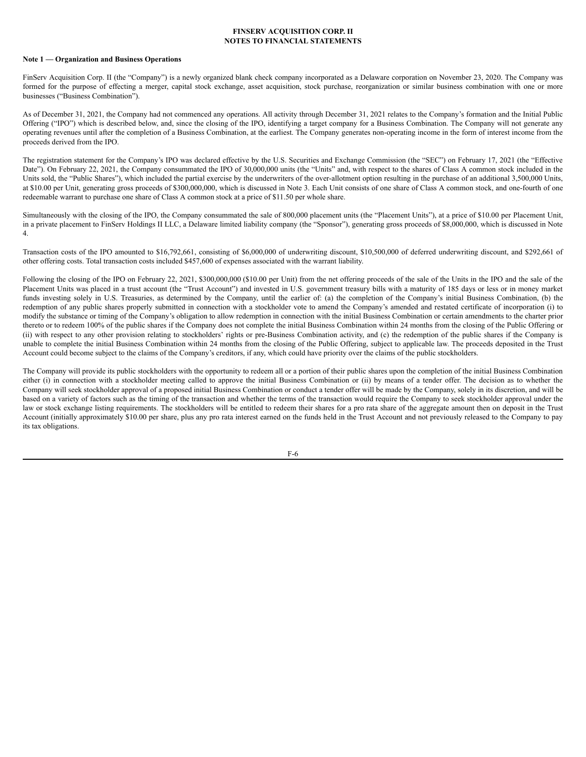## **FINSERV ACQUISITION CORP. II NOTES TO FINANCIAL STATEMENTS**

#### <span id="page-11-0"></span>**Note 1 — Organization and Business Operations**

FinServ Acquisition Corp. II (the "Company") is a newly organized blank check company incorporated as a Delaware corporation on November 23, 2020. The Company was formed for the purpose of effecting a merger, capital stock exchange, asset acquisition, stock purchase, reorganization or similar business combination with one or more businesses ("Business Combination").

As of December 31, 2021, the Company had not commenced any operations. All activity through December 31, 2021 relates to the Company's formation and the Initial Public Offering ("IPO") which is described below, and, since the closing of the IPO, identifying a target company for a Business Combination. The Company will not generate any operating revenues until after the completion of a Business Combination, at the earliest. The Company generates non-operating income in the form of interest income from the proceeds derived from the IPO.

The registration statement for the Company's IPO was declared effective by the U.S. Securities and Exchange Commission (the "SEC") on February 17, 2021 (the "Effective Date"). On February 22, 2021, the Company consummated the IPO of 30,000,000 units (the "Units" and, with respect to the shares of Class A common stock included in the Units sold, the "Public Shares"), which included the partial exercise by the underwriters of the over-allotment option resulting in the purchase of an additional 3,500,000 Units, at \$10.00 per Unit, generating gross proceeds of \$300,000,000, which is discussed in Note 3. Each Unit consists of one share of Class A common stock, and one-fourth of one redeemable warrant to purchase one share of Class A common stock at a price of \$11.50 per whole share.

Simultaneously with the closing of the IPO, the Company consummated the sale of 800,000 placement units (the "Placement Units"), at a price of \$10.00 per Placement Unit, in a private placement to FinServ Holdings II LLC, a Delaware limited liability company (the "Sponsor"), generating gross proceeds of \$8,000,000, which is discussed in Note 4.

Transaction costs of the IPO amounted to \$16,792,661, consisting of \$6,000,000 of underwriting discount, \$10,500,000 of deferred underwriting discount, and \$292,661 of other offering costs. Total transaction costs included \$457,600 of expenses associated with the warrant liability.

Following the closing of the IPO on February 22, 2021, \$300,000,000 (\$10.00 per Unit) from the net offering proceeds of the sale of the Units in the IPO and the sale of the Placement Units was placed in a trust account (the "Trust Account") and invested in U.S. government treasury bills with a maturity of 185 days or less or in money market funds investing solely in U.S. Treasuries, as determined by the Company, until the earlier of: (a) the completion of the Company's initial Business Combination, (b) the redemption of any public shares properly submitted in connection with a stockholder vote to amend the Company's amended and restated certificate of incorporation (i) to modify the substance or timing of the Company's obligation to allow redemption in connection with the initial Business Combination or certain amendments to the charter prior thereto or to redeem 100% of the public shares if the Company does not complete the initial Business Combination within 24 months from the closing of the Public Offering or (ii) with respect to any other provision relating to stockholders' rights or pre-Business Combination activity, and (c) the redemption of the public shares if the Company is unable to complete the initial Business Combination within 24 months from the closing of the Public Offering, subject to applicable law. The proceeds deposited in the Trust Account could become subject to the claims of the Company's creditors, if any, which could have priority over the claims of the public stockholders.

The Company will provide its public stockholders with the opportunity to redeem all or a portion of their public shares upon the completion of the initial Business Combination either (i) in connection with a stockholder meeting called to approve the initial Business Combination or (ii) by means of a tender offer. The decision as to whether the Company will seek stockholder approval of a proposed initial Business Combination or conduct a tender offer will be made by the Company, solely in its discretion, and will be based on a variety of factors such as the timing of the transaction and whether the terms of the transaction would require the Company to seek stockholder approval under the law or stock exchange listing requirements. The stockholders will be entitled to redeem their shares for a pro rata share of the aggregate amount then on deposit in the Trust Account (initially approximately \$10.00 per share, plus any pro rata interest earned on the funds held in the Trust Account and not previously released to the Company to pay its tax obligations.

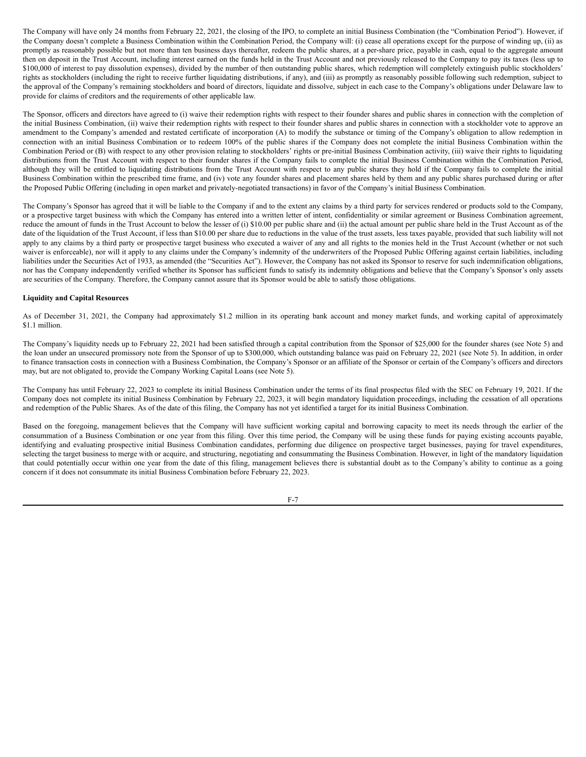The Company will have only 24 months from February 22, 2021, the closing of the IPO, to complete an initial Business Combination (the "Combination Period"). However, if the Company doesn't complete a Business Combination within the Combination Period, the Company will: (i) cease all operations except for the purpose of winding up, (ii) as promptly as reasonably possible but not more than ten business days thereafter, redeem the public shares, at a per-share price, payable in cash, equal to the aggregate amount then on deposit in the Trust Account, including interest earned on the funds held in the Trust Account and not previously released to the Company to pay its taxes (less up to \$100,000 of interest to pay dissolution expenses), divided by the number of then outstanding public shares, which redemption will completely extinguish public stockholders' rights as stockholders (including the right to receive further liquidating distributions, if any), and (iii) as promptly as reasonably possible following such redemption, subject to the approval of the Company's remaining stockholders and board of directors, liquidate and dissolve, subject in each case to the Company's obligations under Delaware law to provide for claims of creditors and the requirements of other applicable law.

The Sponsor, officers and directors have agreed to (i) waive their redemption rights with respect to their founder shares and public shares in connection with the completion of the initial Business Combination, (ii) waive their redemption rights with respect to their founder shares and public shares in connection with a stockholder vote to approve an amendment to the Company's amended and restated certificate of incorporation (A) to modify the substance or timing of the Company's obligation to allow redemption in connection with an initial Business Combination or to redeem 100% of the public shares if the Company does not complete the initial Business Combination within the Combination Period or (B) with respect to any other provision relating to stockholders' rights or pre-initial Business Combination activity, (iii) waive their rights to liquidating distributions from the Trust Account with respect to their founder shares if the Company fails to complete the initial Business Combination within the Combination Period, although they will be entitled to liquidating distributions from the Trust Account with respect to any public shares they hold if the Company fails to complete the initial Business Combination within the prescribed time frame, and (iv) vote any founder shares and placement shares held by them and any public shares purchased during or after the Proposed Public Offering (including in open market and privately-negotiated transactions) in favor of the Company's initial Business Combination.

The Company's Sponsor has agreed that it will be liable to the Company if and to the extent any claims by a third party for services rendered or products sold to the Company, or a prospective target business with which the Company has entered into a written letter of intent, confidentiality or similar agreement or Business Combination agreement, reduce the amount of funds in the Trust Account to below the lesser of (i) \$10.00 per public share and (ii) the actual amount per public share held in the Trust Account as of the date of the liquidation of the Trust Account, if less than \$10.00 per share due to reductions in the value of the trust assets, less taxes payable, provided that such liability will not apply to any claims by a third party or prospective target business who executed a waiver of any and all rights to the monies held in the Trust Account (whether or not such waiver is enforceable), nor will it apply to any claims under the Company's indemnity of the underwriters of the Proposed Public Offering against certain liabilities, including liabilities under the Securities Act of 1933, as amended (the "Securities Act"). However, the Company has not asked its Sponsor to reserve for such indemnification obligations, nor has the Company independently verified whether its Sponsor has sufficient funds to satisfy its indemnity obligations and believe that the Company's Sponsor's only assets are securities of the Company. Therefore, the Company cannot assure that its Sponsor would be able to satisfy those obligations.

### **Liquidity and Capital Resources**

As of December 31, 2021, the Company had approximately \$1.2 million in its operating bank account and money market funds, and working capital of approximately \$1.1 million.

The Company's liquidity needs up to February 22, 2021 had been satisfied through a capital contribution from the Sponsor of \$25,000 for the founder shares (see Note 5) and the loan under an unsecured promissory note from the Sponsor of up to \$300,000, which outstanding balance was paid on February 22, 2021 (see Note 5). In addition, in order to finance transaction costs in connection with a Business Combination, the Company's Sponsor or an affiliate of the Sponsor or certain of the Company's officers and directors may, but are not obligated to, provide the Company Working Capital Loans (see Note 5).

The Company has until February 22, 2023 to complete its initial Business Combination under the terms of its final prospectus filed with the SEC on February 19, 2021. If the Company does not complete its initial Business Combination by February 22, 2023, it will begin mandatory liquidation proceedings, including the cessation of all operations and redemption of the Public Shares. As of the date of this filing, the Company has not yet identified a target for its initial Business Combination.

Based on the foregoing, management believes that the Company will have sufficient working capital and borrowing capacity to meet its needs through the earlier of the consummation of a Business Combination or one year from this filing. Over this time period, the Company will be using these funds for paying existing accounts payable, identifying and evaluating prospective initial Business Combination candidates, performing due diligence on prospective target businesses, paying for travel expenditures, selecting the target business to merge with or acquire, and structuring, negotiating and consummating the Business Combination. However, in light of the mandatory liquidation that could potentially occur within one year from the date of this filing, management believes there is substantial doubt as to the Company's ability to continue as a going concern if it does not consummate its initial Business Combination before February 22, 2023.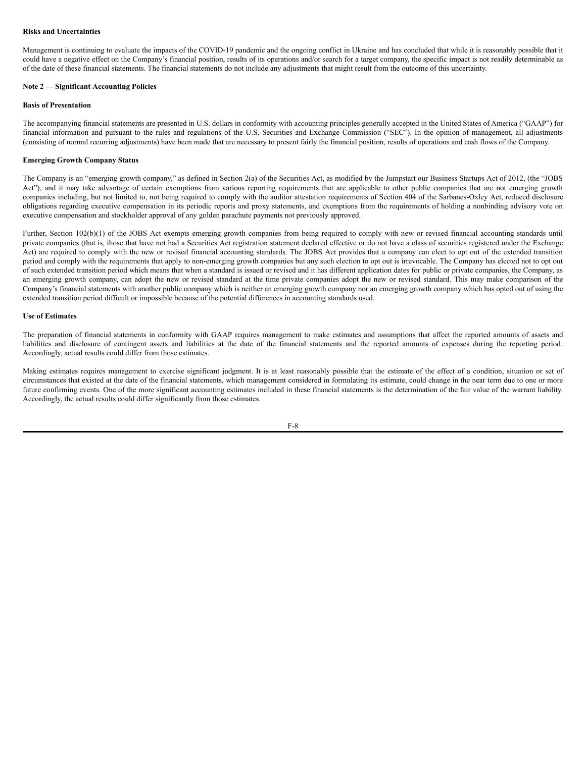### **Risks and Uncertainties**

Management is continuing to evaluate the impacts of the COVID-19 pandemic and the ongoing conflict in Ukraine and has concluded that while it is reasonably possible that it could have a negative effect on the Company's financial position, results of its operations and/or search for a target company, the specific impact is not readily determinable as of the date of these financial statements. The financial statements do not include any adjustments that might result from the outcome of this uncertainty.

#### **Note 2 — Significant Accounting Policies**

#### **Basis of Presentation**

The accompanying financial statements are presented in U.S. dollars in conformity with accounting principles generally accepted in the United States of America ("GAAP") for financial information and pursuant to the rules and regulations of the U.S. Securities and Exchange Commission ("SEC"). In the opinion of management, all adjustments (consisting of normal recurring adjustments) have been made that are necessary to present fairly the financial position, results of operations and cash flows of the Company.

#### **Emerging Growth Company Status**

The Company is an "emerging growth company," as defined in Section 2(a) of the Securities Act, as modified by the Jumpstart our Business Startups Act of 2012, (the "JOBS Act"), and it may take advantage of certain exemptions from various reporting requirements that are applicable to other public companies that are not emerging growth companies including, but not limited to, not being required to comply with the auditor attestation requirements of Section 404 of the Sarbanes-Oxley Act, reduced disclosure obligations regarding executive compensation in its periodic reports and proxy statements, and exemptions from the requirements of holding a nonbinding advisory vote on executive compensation and stockholder approval of any golden parachute payments not previously approved.

Further, Section 102(b)(1) of the JOBS Act exempts emerging growth companies from being required to comply with new or revised financial accounting standards until private companies (that is, those that have not had a Securities Act registration statement declared effective or do not have a class of securities registered under the Exchange Act) are required to comply with the new or revised financial accounting standards. The JOBS Act provides that a company can elect to opt out of the extended transition period and comply with the requirements that apply to non-emerging growth companies but any such election to opt out is irrevocable. The Company has elected not to opt out of such extended transition period which means that when a standard is issued or revised and it has different application dates for public or private companies, the Company, as an emerging growth company, can adopt the new or revised standard at the time private companies adopt the new or revised standard. This may make comparison of the Company's financial statements with another public company which is neither an emerging growth company nor an emerging growth company which has opted out of using the extended transition period difficult or impossible because of the potential differences in accounting standards used.

#### **Use of Estimates**

The preparation of financial statements in conformity with GAAP requires management to make estimates and assumptions that affect the reported amounts of assets and liabilities and disclosure of contingent assets and liabilities at the date of the financial statements and the reported amounts of expenses during the reporting period. Accordingly, actual results could differ from those estimates.

Making estimates requires management to exercise significant judgment. It is at least reasonably possible that the estimate of the effect of a condition, situation or set of circumstances that existed at the date of the financial statements, which management considered in formulating its estimate, could change in the near term due to one or more future confirming events. One of the more significant accounting estimates included in these financial statements is the determination of the fair value of the warrant liability. Accordingly, the actual results could differ significantly from those estimates.

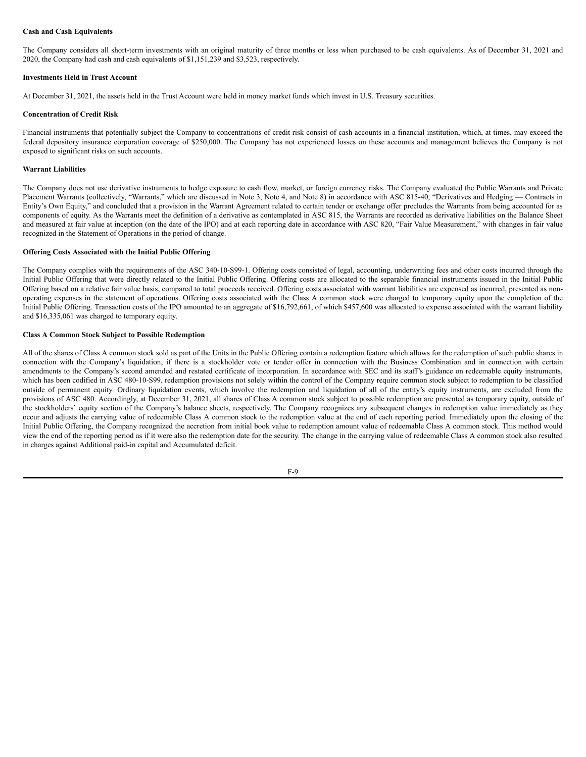## **Cash and Cash Equivalents**

The Company considers all short-term investments with an original maturity of three months or less when purchased to be cash equivalents. As of December 31, 2021 and 2020, the Company had cash and cash equivalents of \$1,151,239 and \$3,523, respectively.

#### **Investments Held in Trust Account**

At December 31, 2021, the assets held in the Trust Account were held in money market funds which invest in U.S. Treasury securities.

#### **Concentration of Credit Risk**

Financial instruments that potentially subject the Company to concentrations of credit risk consist of cash accounts in a financial institution, which, at times, may exceed the federal depository insurance corporation coverage of \$250,000. The Company has not experienced losses on these accounts and management believes the Company is not exposed to significant risks on such accounts.

## **Warrant Liabilities**

The Company does not use derivative instruments to hedge exposure to cash flow, market, or foreign currency risks. The Company evaluated the Public Warrants and Private Placement Warrants (collectively, "Warrants," which are discussed in Note 3, Note 4, and Note 8) in accordance with ASC 815-40, "Derivatives and Hedging — Contracts in Entity's Own Equity," and concluded that a provision in the Warrant Agreement related to certain tender or exchange offer precludes the Warrants from being accounted for as components of equity. As the Warrants meet the definition of a derivative as contemplated in ASC 815, the Warrants are recorded as derivative liabilities on the Balance Sheet and measured at fair value at inception (on the date of the IPO) and at each reporting date in accordance with ASC 820, "Fair Value Measurement," with changes in fair value recognized in the Statement of Operations in the period of change.

### **Offering Costs Associated with the Initial Public Offering**

The Company complies with the requirements of the ASC 340-10-S99-1. Offering costs consisted of legal, accounting, underwriting fees and other costs incurred through the Initial Public Offering that were directly related to the Initial Public Offering. Offering costs are allocated to the separable financial instruments issued in the Initial Public Offering based on a relative fair value basis, compared to total proceeds received. Offering costs associated with warrant liabilities are expensed as incurred, presented as nonoperating expenses in the statement of operations. Offering costs associated with the Class A common stock were charged to temporary equity upon the completion of the Initial Public Offering. Transaction costs of the IPO amounted to an aggregate of \$16,792,661, of which \$457,600 was allocated to expense associated with the warrant liability and \$16,335,061 was charged to temporary equity.

#### **Class A Common Stock Subject to Possible Redemption**

All of the shares of Class A common stock sold as part of the Units in the Public Offering contain a redemption feature which allows for the redemption of such public shares in connection with the Company's liquidation, if there is a stockholder vote or tender offer in connection with the Business Combination and in connection with certain amendments to the Company's second amended and restated certificate of incorporation. In accordance with SEC and its staff's guidance on redeemable equity instruments, which has been codified in ASC 480-10-S99, redemption provisions not solely within the control of the Company require common stock subject to redemption to be classified outside of permanent equity. Ordinary liquidation events, which involve the redemption and liquidation of all of the entity's equity instruments, are excluded from the provisions of ASC 480. Accordingly, at December 31, 2021, all shares of Class A common stock subject to possible redemption are presented as temporary equity, outside of the stockholders' equity section of the Company's balance sheets, respectively. The Company recognizes any subsequent changes in redemption value immediately as they occur and adjusts the carrying value of redeemable Class A common stock to the redemption value at the end of each reporting period. Immediately upon the closing of the Initial Public Offering, the Company recognized the accretion from initial book value to redemption amount value of redeemable Class A common stock. This method would view the end of the reporting period as if it were also the redemption date for the security. The change in the carrying value of redeemable Class A common stock also resulted in charges against Additional paid-in capital and Accumulated deficit.

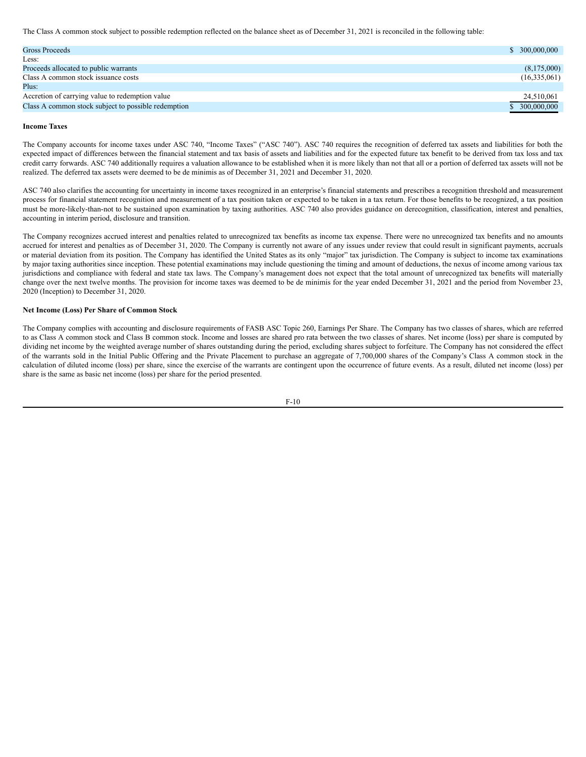The Class A common stock subject to possible redemption reflected on the balance sheet as of December 31, 2021 is reconciled in the following table:

| Gross Proceeds                                      | \$300,000,000 |
|-----------------------------------------------------|---------------|
| Less:                                               |               |
| Proceeds allocated to public warrants               | (8,175,000)   |
| Class A common stock issuance costs                 | (16,335,061)  |
| Plus:                                               |               |
| Accretion of carrying value to redemption value     | 24,510,061    |
| Class A common stock subject to possible redemption | 300,000,000   |

### **Income Taxes**

The Company accounts for income taxes under ASC 740, "Income Taxes" ("ASC 740"). ASC 740 requires the recognition of deferred tax assets and liabilities for both the expected impact of differences between the financial statement and tax basis of assets and liabilities and for the expected future tax benefit to be derived from tax loss and tax credit carry forwards. ASC 740 additionally requires a valuation allowance to be established when it is more likely than not that all or a portion of deferred tax assets will not be realized. The deferred tax assets were deemed to be de minimis as of December 31, 2021 and December 31, 2020.

ASC 740 also clarifies the accounting for uncertainty in income taxes recognized in an enterprise's financial statements and prescribes a recognition threshold and measurement process for financial statement recognition and measurement of a tax position taken or expected to be taken in a tax return. For those benefits to be recognized, a tax position must be more-likely-than-not to be sustained upon examination by taxing authorities. ASC 740 also provides guidance on derecognition, classification, interest and penalties, accounting in interim period, disclosure and transition.

The Company recognizes accrued interest and penalties related to unrecognized tax benefits as income tax expense. There were no unrecognized tax benefits and no amounts accrued for interest and penalties as of December 31, 2020. The Company is currently not aware of any issues under review that could result in significant payments, accruals or material deviation from its position. The Company has identified the United States as its only "major" tax jurisdiction. The Company is subject to income tax examinations by major taxing authorities since inception. These potential examinations may include questioning the timing and amount of deductions, the nexus of income among various tax jurisdictions and compliance with federal and state tax laws. The Company's management does not expect that the total amount of unrecognized tax benefits will materially change over the next twelve months. The provision for income taxes was deemed to be de minimis for the year ended December 31, 2021 and the period from November 23, 2020 (Inception) to December 31, 2020.

### **Net Income (Loss) Per Share of Common Stock**

The Company complies with accounting and disclosure requirements of FASB ASC Topic 260, Earnings Per Share. The Company has two classes of shares, which are referred to as Class A common stock and Class B common stock. Income and losses are shared pro rata between the two classes of shares. Net income (loss) per share is computed by dividing net income by the weighted average number of shares outstanding during the period, excluding shares subject to forfeiture. The Company has not considered the effect of the warrants sold in the Initial Public Offering and the Private Placement to purchase an aggregate of 7,700,000 shares of the Company's Class A common stock in the calculation of diluted income (loss) per share, since the exercise of the warrants are contingent upon the occurrence of future events. As a result, diluted net income (loss) per share is the same as basic net income (loss) per share for the period presented.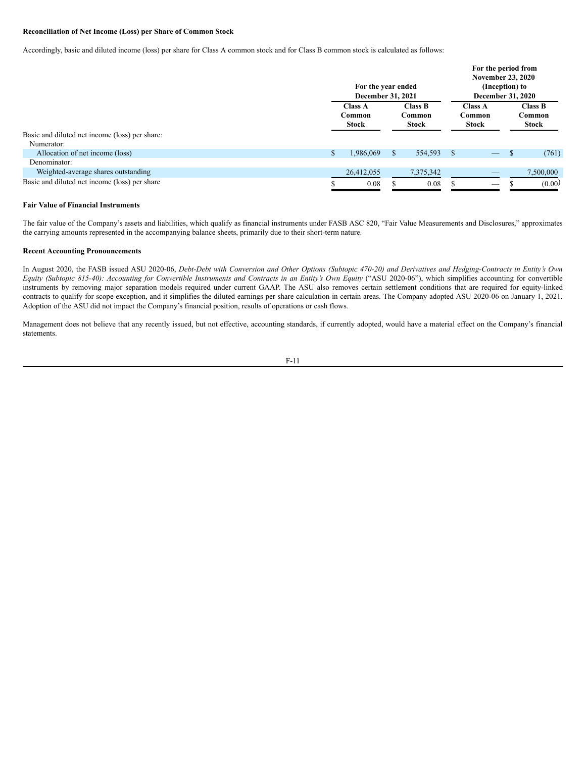### **Reconciliation of Net Income (Loss) per Share of Common Stock**

Accordingly, basic and diluted income (loss) per share for Class A common stock and for Class B common stock is calculated as follows:

|                                                              | For the year ended<br>December 31, 2021  | For the period from<br><b>November 23, 2020</b><br>(Inception) to<br><b>December 31, 2020</b> |                                          |                                          |                          |                                   |           |
|--------------------------------------------------------------|------------------------------------------|-----------------------------------------------------------------------------------------------|------------------------------------------|------------------------------------------|--------------------------|-----------------------------------|-----------|
| Basic and diluted net income (loss) per share:<br>Numerator: | <b>Class A</b><br>Common<br><b>Stock</b> |                                                                                               | <b>Class B</b><br>Common<br><b>Stock</b> | <b>Class A</b><br>Common<br><b>Stock</b> |                          | Class B<br>Common<br><b>Stock</b> |           |
| Allocation of net income (loss)                              | 1,986,069                                | <sup>\$</sup>                                                                                 | 554,593                                  | - \$                                     | $\overline{\phantom{0}}$ | $\mathbf S$                       | (761)     |
| Denominator:                                                 |                                          |                                                                                               |                                          |                                          |                          |                                   |           |
| Weighted-average shares outstanding                          | 26,412,055                               |                                                                                               | 7,375,342                                |                                          |                          |                                   | 7,500,000 |
| Basic and diluted net income (loss) per share                | 0.08                                     |                                                                                               | 0.08                                     |                                          |                          |                                   | (0.00)    |

## **Fair Value of Financial Instruments**

The fair value of the Company's assets and liabilities, which qualify as financial instruments under FASB ASC 820, "Fair Value Measurements and Disclosures," approximates the carrying amounts represented in the accompanying balance sheets, primarily due to their short-term nature.

#### **Recent Accounting Pronouncements**

In August 2020, the FASB issued ASU 2020-06, Debt-Debt with Conversion and Other Options (Subtopic 470-20) and Derivatives and Hedging-Contracts in Entity's Own Equity (Subtopic 815-40): Accounting for Convertible Instruments and Contracts in an Entity's Own Equity ("ASU 2020-06"), which simplifies accounting for convertible instruments by removing major separation models required under current GAAP. The ASU also removes certain settlement conditions that are required for equity-linked contracts to qualify for scope exception, and it simplifies the diluted earnings per share calculation in certain areas. The Company adopted ASU 2020-06 on January 1, 2021. Adoption of the ASU did not impact the Company's financial position, results of operations or cash flows.

Management does not believe that any recently issued, but not effective, accounting standards, if currently adopted, would have a material effect on the Company's financial statements.

$$
F-11
$$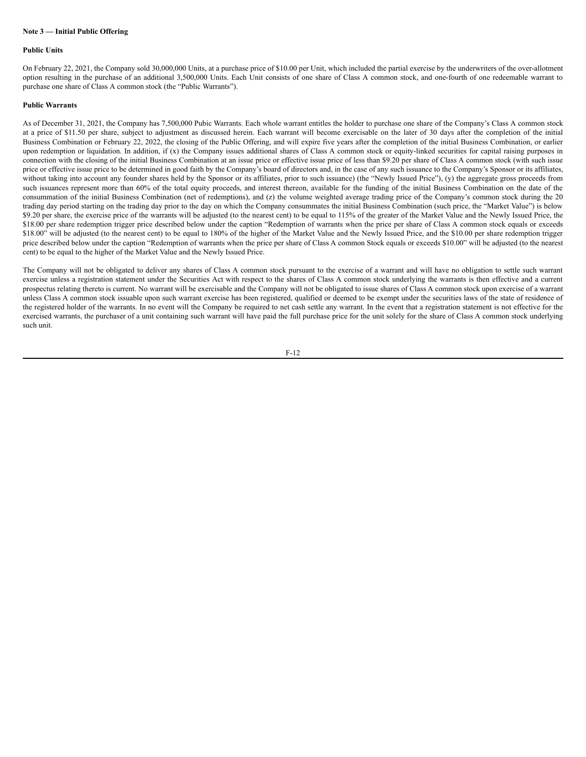#### **Note 3 — Initial Public Offering**

#### **Public Units**

On February 22, 2021, the Company sold 30,000,000 Units, at a purchase price of \$10.00 per Unit, which included the partial exercise by the underwriters of the over-allotment option resulting in the purchase of an additional 3,500,000 Units. Each Unit consists of one share of Class A common stock, and one-fourth of one redeemable warrant to purchase one share of Class A common stock (the "Public Warrants").

#### **Public Warrants**

As of December 31, 2021, the Company has 7,500,000 Pubic Warrants. Each whole warrant entitles the holder to purchase one share of the Company's Class A common stock at a price of \$11.50 per share, subject to adjustment as discussed herein. Each warrant will become exercisable on the later of 30 days after the completion of the initial Business Combination or February 22, 2022, the closing of the Public Offering, and will expire five years after the completion of the initial Business Combination, or earlier upon redemption or liquidation. In addition, if (x) the Company issues additional shares of Class A common stock or equity-linked securities for capital raising purposes in connection with the closing of the initial Business Combination at an issue price or effective issue price of less than \$9.20 per share of Class A common stock (with such issue price or effective issue price to be determined in good faith by the Company's board of directors and, in the case of any such issuance to the Company's Sponsor or its affiliates, without taking into account any founder shares held by the Sponsor or its affiliates, prior to such issuance) (the "Newly Issued Price"), (y) the aggregate gross proceeds from such issuances represent more than 60% of the total equity proceeds, and interest thereon, available for the funding of the initial Business Combination on the date of the consummation of the initial Business Combination (net of redemptions), and (z) the volume weighted average trading price of the Company's common stock during the 20 trading day period starting on the trading day prior to the day on which the Company consummates the initial Business Combination (such price, the "Market Value") is below \$9.20 per share, the exercise price of the warrants will be adjusted (to the nearest cent) to be equal to 115% of the greater of the Market Value and the Newly Issued Price, the \$18.00 per share redemption trigger price described below under the caption "Redemption of warrants when the price per share of Class A common stock equals or exceeds \$18.00" will be adjusted (to the nearest cent) to be equal to 180% of the higher of the Market Value and the Newly Issued Price, and the \$10.00 per share redemption trigger price described below under the caption "Redemption of warrants when the price per share of Class A common Stock equals or exceeds \$10.00" will be adjusted (to the nearest cent) to be equal to the higher of the Market Value and the Newly Issued Price.

The Company will not be obligated to deliver any shares of Class A common stock pursuant to the exercise of a warrant and will have no obligation to settle such warrant exercise unless a registration statement under the Securities Act with respect to the shares of Class A common stock underlying the warrants is then effective and a current prospectus relating thereto is current. No warrant will be exercisable and the Company will not be obligated to issue shares of Class A common stock upon exercise of a warrant unless Class A common stock issuable upon such warrant exercise has been registered, qualified or deemed to be exempt under the securities laws of the state of residence of the registered holder of the warrants. In no event will the Company be required to net cash settle any warrant. In the event that a registration statement is not effective for the exercised warrants, the purchaser of a unit containing such warrant will have paid the full purchase price for the unit solely for the share of Class A common stock underlying such unit.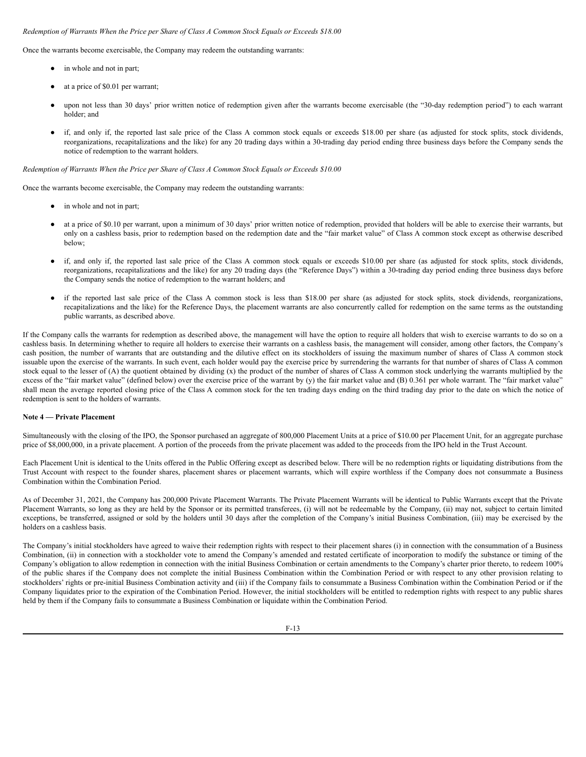#### *Redemption of Warrants When the Price per Share of Class A Common Stock Equals or Exceeds \$18.00*

Once the warrants become exercisable, the Company may redeem the outstanding warrants:

- in whole and not in part;
- at a price of \$0.01 per warrant;
- upon not less than 30 days' prior written notice of redemption given after the warrants become exercisable (the "30-day redemption period") to each warrant holder; and
- if, and only if, the reported last sale price of the Class A common stock equals or exceeds \$18.00 per share (as adjusted for stock splits, stock dividends, reorganizations, recapitalizations and the like) for any 20 trading days within a 30-trading day period ending three business days before the Company sends the notice of redemption to the warrant holders.

## *Redemption of Warrants When the Price per Share of Class A Common Stock Equals or Exceeds \$10.00*

Once the warrants become exercisable, the Company may redeem the outstanding warrants:

- in whole and not in part;
- at a price of \$0.10 per warrant, upon a minimum of 30 days' prior written notice of redemption, provided that holders will be able to exercise their warrants, but only on a cashless basis, prior to redemption based on the redemption date and the "fair market value" of Class A common stock except as otherwise described below;
- if, and only if, the reported last sale price of the Class A common stock equals or exceeds \$10.00 per share (as adjusted for stock splits, stock dividends, reorganizations, recapitalizations and the like) for any 20 trading days (the "Reference Days") within a 30-trading day period ending three business days before the Company sends the notice of redemption to the warrant holders; and
- if the reported last sale price of the Class A common stock is less than \$18.00 per share (as adjusted for stock splits, stock dividends, reorganizations, recapitalizations and the like) for the Reference Days, the placement warrants are also concurrently called for redemption on the same terms as the outstanding public warrants, as described above.

If the Company calls the warrants for redemption as described above, the management will have the option to require all holders that wish to exercise warrants to do so on a cashless basis. In determining whether to require all holders to exercise their warrants on a cashless basis, the management will consider, among other factors, the Company's cash position, the number of warrants that are outstanding and the dilutive effect on its stockholders of issuing the maximum number of shares of Class A common stock issuable upon the exercise of the warrants. In such event, each holder would pay the exercise price by surrendering the warrants for that number of shares of Class A common stock equal to the lesser of (A) the quotient obtained by dividing (x) the product of the number of shares of Class A common stock underlying the warrants multiplied by the excess of the "fair market value" (defined below) over the exercise price of the warrant by (y) the fair market value and (B) 0.361 per whole warrant. The "fair market value" shall mean the average reported closing price of the Class A common stock for the ten trading days ending on the third trading day prior to the date on which the notice of redemption is sent to the holders of warrants.

## **Note 4 — Private Placement**

Simultaneously with the closing of the IPO, the Sponsor purchased an aggregate of 800,000 Placement Units at a price of \$10.00 per Placement Unit, for an aggregate purchase price of \$8,000,000, in a private placement. A portion of the proceeds from the private placement was added to the proceeds from the IPO held in the Trust Account.

Each Placement Unit is identical to the Units offered in the Public Offering except as described below. There will be no redemption rights or liquidating distributions from the Trust Account with respect to the founder shares, placement shares or placement warrants, which will expire worthless if the Company does not consummate a Business Combination within the Combination Period.

As of December 31, 2021, the Company has 200,000 Private Placement Warrants. The Private Placement Warrants will be identical to Public Warrants except that the Private Placement Warrants, so long as they are held by the Sponsor or its permitted transferees, (i) will not be redeemable by the Company, (ii) may not, subject to certain limited exceptions, be transferred, assigned or sold by the holders until 30 days after the completion of the Company's initial Business Combination, (iii) may be exercised by the holders on a cashless basis.

The Company's initial stockholders have agreed to waive their redemption rights with respect to their placement shares (i) in connection with the consummation of a Business Combination, (ii) in connection with a stockholder vote to amend the Company's amended and restated certificate of incorporation to modify the substance or timing of the Company's obligation to allow redemption in connection with the initial Business Combination or certain amendments to the Company's charter prior thereto, to redeem 100% of the public shares if the Company does not complete the initial Business Combination within the Combination Period or with respect to any other provision relating to stockholders' rights or pre-initial Business Combination activity and (iii) if the Company fails to consummate a Business Combination within the Combination Period or if the Company liquidates prior to the expiration of the Combination Period. However, the initial stockholders will be entitled to redemption rights with respect to any public shares held by them if the Company fails to consummate a Business Combination or liquidate within the Combination Period.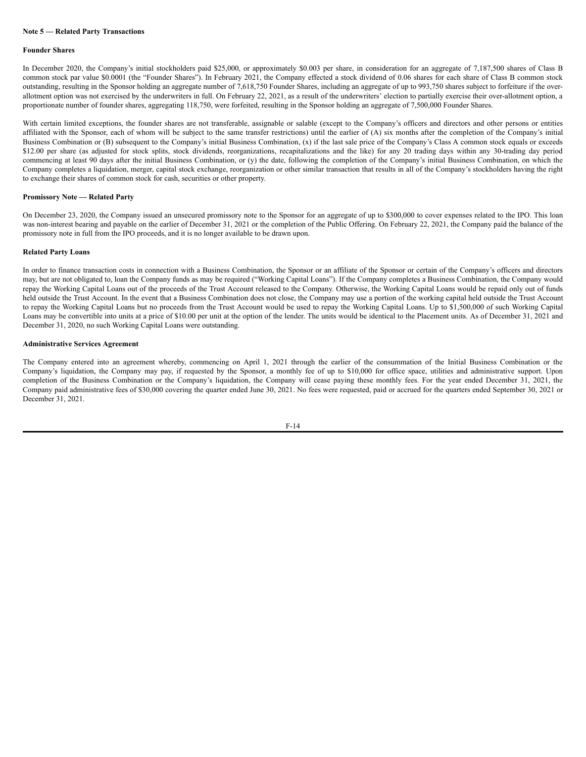#### **Note 5 — Related Party Transactions**

#### **Founder Shares**

In December 2020, the Company's initial stockholders paid \$25,000, or approximately \$0.003 per share, in consideration for an aggregate of 7,187,500 shares of Class B common stock par value \$0.0001 (the "Founder Shares"). In February 2021, the Company effected a stock dividend of 0.06 shares for each share of Class B common stock outstanding, resulting in the Sponsor holding an aggregate number of 7,618,750 Founder Shares, including an aggregate of up to 993,750 shares subject to forfeiture if the overallotment option was not exercised by the underwriters in full. On February 22, 2021, as a result of the underwriters' election to partially exercise their over-allotment option, a proportionate number of founder shares, aggregating 118,750, were forfeited, resulting in the Sponsor holding an aggregate of 7,500,000 Founder Shares.

With certain limited exceptions, the founder shares are not transferable, assignable or salable (except to the Company's officers and directors and other persons or entities affiliated with the Sponsor, each of whom will be subject to the same transfer restrictions) until the earlier of (A) six months after the completion of the Company's initial Business Combination or (B) subsequent to the Company's initial Business Combination, (x) if the last sale price of the Company's Class A common stock equals or exceeds \$12.00 per share (as adjusted for stock splits, stock dividends, reorganizations, recapitalizations and the like) for any 20 trading days within any 30-trading day period commencing at least 90 days after the initial Business Combination, or (y) the date, following the completion of the Company's initial Business Combination, on which the Company completes a liquidation, merger, capital stock exchange, reorganization or other similar transaction that results in all of the Company's stockholders having the right to exchange their shares of common stock for cash, securities or other property.

#### **Promissory Note — Related Party**

On December 23, 2020, the Company issued an unsecured promissory note to the Sponsor for an aggregate of up to \$300,000 to cover expenses related to the IPO. This loan was non-interest bearing and payable on the earlier of December 31, 2021 or the completion of the Public Offering. On February 22, 2021, the Company paid the balance of the promissory note in full from the IPO proceeds, and it is no longer available to be drawn upon.

#### **Related Party Loans**

In order to finance transaction costs in connection with a Business Combination, the Sponsor or an affiliate of the Sponsor or certain of the Company's officers and directors may, but are not obligated to, loan the Company funds as may be required ("Working Capital Loans"). If the Company completes a Business Combination, the Company would repay the Working Capital Loans out of the proceeds of the Trust Account released to the Company. Otherwise, the Working Capital Loans would be repaid only out of funds held outside the Trust Account. In the event that a Business Combination does not close, the Company may use a portion of the working capital held outside the Trust Account to repay the Working Capital Loans but no proceeds from the Trust Account would be used to repay the Working Capital Loans. Up to \$1,500,000 of such Working Capital Loans may be convertible into units at a price of \$10.00 per unit at the option of the lender. The units would be identical to the Placement units. As of December 31, 2021 and December 31, 2020, no such Working Capital Loans were outstanding.

#### **Administrative Services Agreement**

The Company entered into an agreement whereby, commencing on April 1, 2021 through the earlier of the consummation of the Initial Business Combination or the Company's liquidation, the Company may pay, if requested by the Sponsor, a monthly fee of up to \$10,000 for office space, utilities and administrative support. Upon completion of the Business Combination or the Company's liquidation, the Company will cease paying these monthly fees. For the year ended December 31, 2021, the Company paid administrative fees of \$30,000 covering the quarter ended June 30, 2021. No fees were requested, paid or accrued for the quarters ended September 30, 2021 or December 31, 2021.

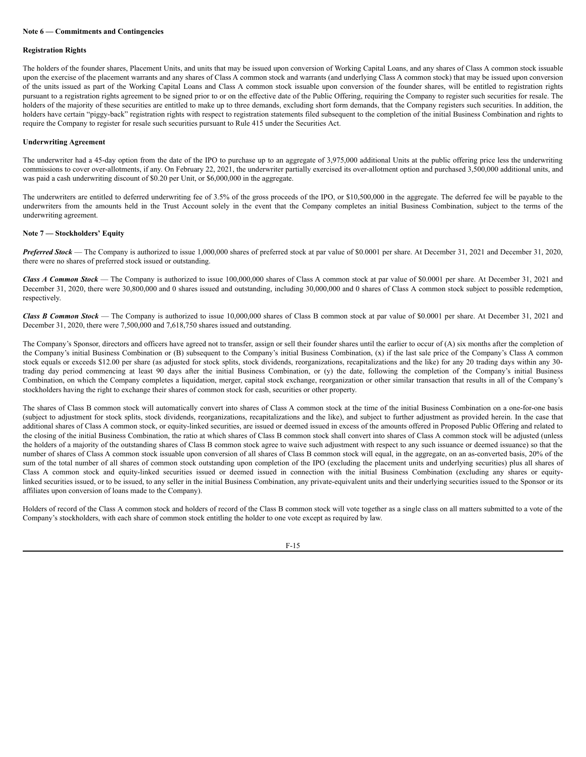#### **Note 6 — Commitments and Contingencies**

#### **Registration Rights**

The holders of the founder shares, Placement Units, and units that may be issued upon conversion of Working Capital Loans, and any shares of Class A common stock issuable upon the exercise of the placement warrants and any shares of Class A common stock and warrants (and underlying Class A common stock) that may be issued upon conversion of the units issued as part of the Working Capital Loans and Class A common stock issuable upon conversion of the founder shares, will be entitled to registration rights pursuant to a registration rights agreement to be signed prior to or on the effective date of the Public Offering, requiring the Company to register such securities for resale. The holders of the majority of these securities are entitled to make up to three demands, excluding short form demands, that the Company registers such securities. In addition, the holders have certain "piggy-back" registration rights with respect to registration statements filed subsequent to the completion of the initial Business Combination and rights to require the Company to register for resale such securities pursuant to Rule 415 under the Securities Act.

### **Underwriting Agreement**

The underwriter had a 45-day option from the date of the IPO to purchase up to an aggregate of 3,975,000 additional Units at the public offering price less the underwriting commissions to cover over-allotments, if any. On February 22, 2021, the underwriter partially exercised its over-allotment option and purchased 3,500,000 additional units, and was paid a cash underwriting discount of \$0.20 per Unit, or \$6,000,000 in the aggregate.

The underwriters are entitled to deferred underwriting fee of 3.5% of the gross proceeds of the IPO, or \$10,500,000 in the aggregate. The deferred fee will be payable to the underwriters from the amounts held in the Trust Account solely in the event that the Company completes an initial Business Combination, subject to the terms of the underwriting agreement.

#### **Note 7 — Stockholders' Equity**

*Preferred Stock* — The Company is authorized to issue 1,000,000 shares of preferred stock at par value of \$0.0001 per share. At December 31, 2021 and December 31, 2020, there were no shares of preferred stock issued or outstanding.

*Class A Common Stock* — The Company is authorized to issue 100,000,000 shares of Class A common stock at par value of \$0.0001 per share. At December 31, 2021 and December 31, 2020, there were 30,800,000 and 0 shares issued and outstanding, including 30,000,000 and 0 shares of Class A common stock subject to possible redemption, respectively.

*Class B Common Stock* — The Company is authorized to issue 10,000,000 shares of Class B common stock at par value of \$0.0001 per share. At December 31, 2021 and December 31, 2020, there were 7,500,000 and 7,618,750 shares issued and outstanding.

The Company's Sponsor, directors and officers have agreed not to transfer, assign or sell their founder shares until the earlier to occur of (A) six months after the completion of the Company's initial Business Combination or (B) subsequent to the Company's initial Business Combination, (x) if the last sale price of the Company's Class A common stock equals or exceeds \$12.00 per share (as adjusted for stock splits, stock dividends, reorganizations, recapitalizations and the like) for any 20 trading days within any 30 trading day period commencing at least 90 days after the initial Business Combination, or (y) the date, following the completion of the Company's initial Business Combination, on which the Company completes a liquidation, merger, capital stock exchange, reorganization or other similar transaction that results in all of the Company's stockholders having the right to exchange their shares of common stock for cash, securities or other property.

The shares of Class B common stock will automatically convert into shares of Class A common stock at the time of the initial Business Combination on a one-for-one basis (subject to adjustment for stock splits, stock dividends, reorganizations, recapitalizations and the like), and subject to further adjustment as provided herein. In the case that additional shares of Class A common stock, or equity-linked securities, are issued or deemed issued in excess of the amounts offered in Proposed Public Offering and related to the closing of the initial Business Combination, the ratio at which shares of Class B common stock shall convert into shares of Class A common stock will be adjusted (unless the holders of a majority of the outstanding shares of Class B common stock agree to waive such adjustment with respect to any such issuance or deemed issuance) so that the number of shares of Class A common stock issuable upon conversion of all shares of Class B common stock will equal, in the aggregate, on an as-converted basis, 20% of the sum of the total number of all shares of common stock outstanding upon completion of the IPO (excluding the placement units and underlying securities) plus all shares of Class A common stock and equity-linked securities issued or deemed issued in connection with the initial Business Combination (excluding any shares or equitylinked securities issued, or to be issued, to any seller in the initial Business Combination, any private-equivalent units and their underlying securities issued to the Sponsor or its affiliates upon conversion of loans made to the Company).

Holders of record of the Class A common stock and holders of record of the Class B common stock will vote together as a single class on all matters submitted to a vote of the Company's stockholders, with each share of common stock entitling the holder to one vote except as required by law.

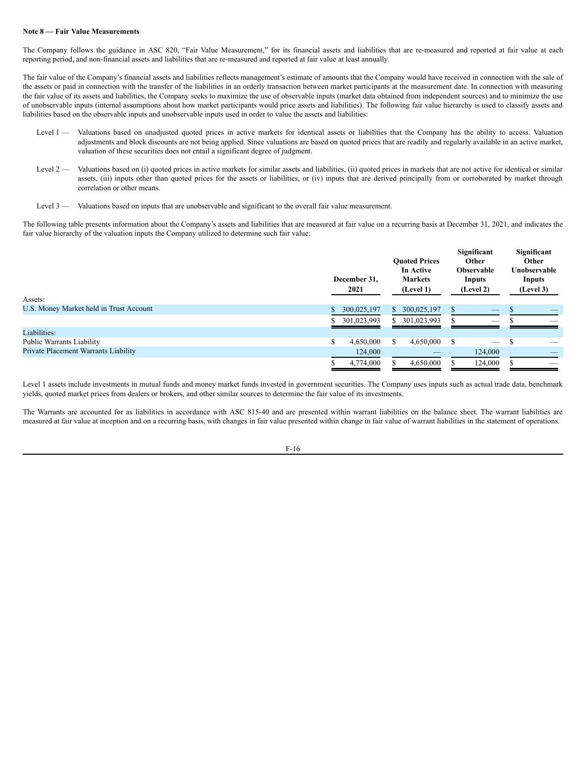### **Note 8 — Fair Value Measurements**

The Company follows the guidance in ASC 820, "Fair Value Measurement," for its financial assets and liabilities that are re-measured and reported at fair value at each reporting period, and non-financial assets and liabilities that are re-measured and reported at fair value at least annually.

The fair value of the Company's financial assets and liabilities reflects management's estimate of amounts that the Company would have received in connection with the sale of the assets or paid in connection with the transfer of the liabilities in an orderly transaction between market participants at the measurement date. In connection with measuring the fair value of its assets and liabilities, the Company seeks to maximize the use of observable inputs (market data obtained from independent sources) and to minimize the use of unobservable inputs (internal assumptions about how market participants would price assets and liabilities). The following fair value hierarchy is used to classify assets and liabilities based on the observable inputs and unobservable inputs used in order to value the assets and liabilities:

- Level 1 Valuations based on unadjusted quoted prices in active markets for identical assets or liabilities that the Company has the ability to access. Valuation adjustments and block discounts are not being applied. Since valuations are based on quoted prices that are readily and regularly available in an active market, valuation of these securities does not entail a significant degree of judgment.
- Level 2 Valuations based on (i) quoted prices in active markets for similar assets and liabilities, (ii) quoted prices in markets that are not active for identical or similar assets, (iii) inputs other than quoted prices for the assets or liabilities, or (iv) inputs that are derived principally from or corroborated by market through correlation or other means.
- Level 3 Valuations based on inputs that are unobservable and significant to the overall fair value measurement.

The following table presents information about the Company's assets and liabilities that are measured at fair value on a recurring basis at December 31, 2021, and indicates the fair value hierarchy of the valuation inputs the Company utilized to determine such fair value:

| Assets:                                 | December 31,<br>2021 | <b>Ouoted Prices</b><br>In Active<br><b>Markets</b><br>(Level 1) | Significant<br>Other<br><b>Observable</b><br>Inputs<br>(Level 2) | Significant<br>Other<br>Unobservable<br>Inputs<br>(Level 3) |
|-----------------------------------------|----------------------|------------------------------------------------------------------|------------------------------------------------------------------|-------------------------------------------------------------|
| U.S. Money Market held in Trust Account | 300,025,197          | 300,025,197<br>\$                                                |                                                                  |                                                             |
|                                         | 301,023,993          | 301,023,993<br>S                                                 | __                                                               |                                                             |
| Liabilities:                            |                      |                                                                  |                                                                  |                                                             |
| <b>Public Warrants Liability</b>        | S<br>4,650,000       | S<br>4,650,000                                                   | -S                                                               | -S                                                          |
| Private Placement Warrants Liability    | 124,000              |                                                                  | 124,000                                                          |                                                             |
|                                         | 4,774,000            | 4,650,000                                                        | 124,000                                                          |                                                             |

Level 1 assets include investments in mutual funds and money market funds invested in government securities. The Company uses inputs such as actual trade data, benchmark yields, quoted market prices from dealers or brokers, and other similar sources to determine the fair value of its investments.

The Warrants are accounted for as liabilities in accordance with ASC 815-40 and are presented within warrant liabilities on the balance sheet. The warrant liabilities are measured at fair value at inception and on a recurring basis, with changes in fair value presented within change in fair value of warrant liabilities in the statement of operations.

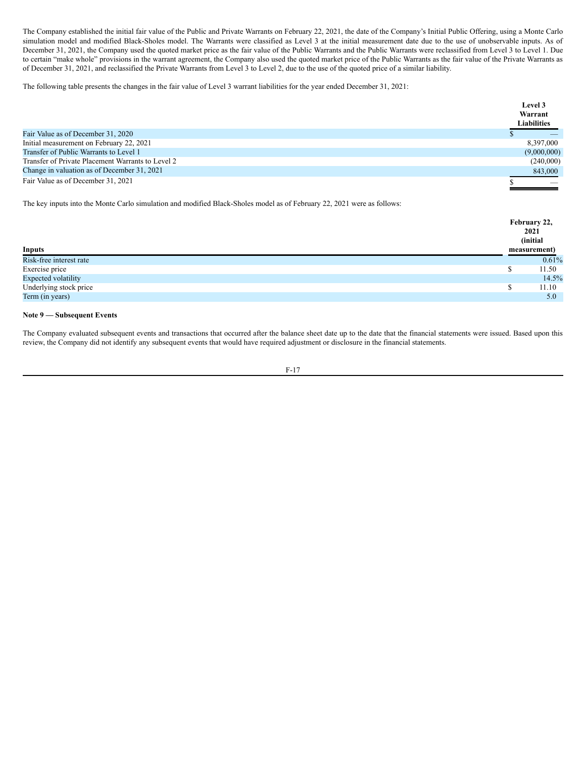The Company established the initial fair value of the Public and Private Warrants on February 22, 2021, the date of the Company's Initial Public Offering, using a Monte Carlo simulation model and modified Black-Sholes model. The Warrants were classified as Level 3 at the initial measurement date due to the use of unobservable inputs. As of December 31, 2021, the Company used the quoted market price as the fair value of the Public Warrants and the Public Warrants were reclassified from Level 3 to Level 1. Due to certain "make whole" provisions in the warrant agreement, the Company also used the quoted market price of the Public Warrants as the fair value of the Private Warrants as of December 31, 2021, and reclassified the Private Warrants from Level 3 to Level 2, due to the use of the quoted price of a similar liability.

The following table presents the changes in the fair value of Level 3 warrant liabilities for the year ended December 31, 2021:

|                                                   | Level 3<br>Warrant<br><b>Liabilities</b> |
|---------------------------------------------------|------------------------------------------|
| Fair Value as of December 31, 2020                |                                          |
| Initial measurement on February 22, 2021          | 8,397,000                                |
| Transfer of Public Warrants to Level 1            | (9,000,000)                              |
| Transfer of Private Placement Warrants to Level 2 | (240,000)                                |
| Change in valuation as of December 31, 2021       | 843,000                                  |
| Fair Value as of December 31, 2021                |                                          |

The key inputs into the Monte Carlo simulation and modified Black-Sholes model as of February 22, 2021 were as follows:

| Inputs                  | February 22,<br>2021<br>measurement) | (initial |
|-------------------------|--------------------------------------|----------|
| Risk-free interest rate |                                      | 0.61%    |
| Exercise price          |                                      | 11.50    |
| Expected volatility     |                                      | 14.5%    |
| Underlying stock price  |                                      | 11.10    |
| Term (in years)         |                                      | 5.0      |

### **Note 9 — Subsequent Events**

The Company evaluated subsequent events and transactions that occurred after the balance sheet date up to the date that the financial statements were issued. Based upon this review, the Company did not identify any subsequent events that would have required adjustment or disclosure in the financial statements.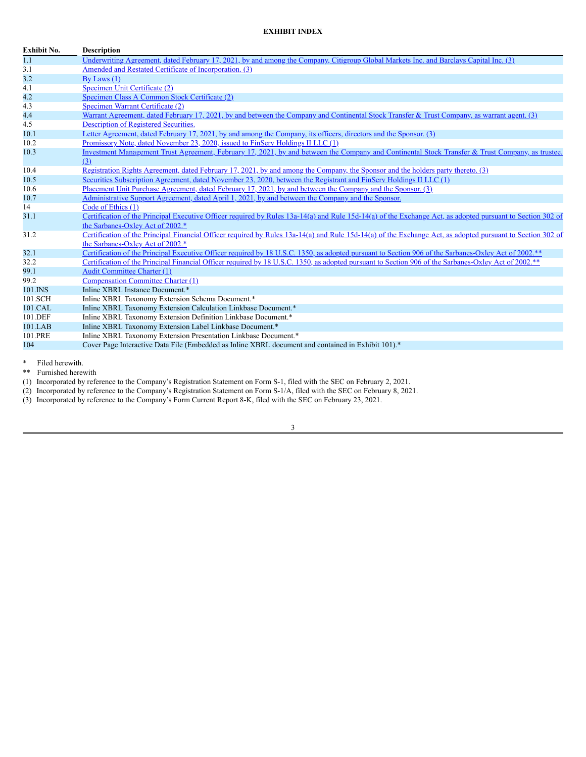# **EXHIBIT INDEX**

| Exhibit No. | <b>Description</b>                                                                                                                                                                             |
|-------------|------------------------------------------------------------------------------------------------------------------------------------------------------------------------------------------------|
| 1.1         | Underwriting Agreement, dated February 17, 2021, by and among the Company, Citigroup Global Markets Inc. and Barclays Capital Inc. (3)                                                         |
| 3.1         | Amended and Restated Certificate of Incorporation. (3)                                                                                                                                         |
| 3.2         | By Laws $(1)$                                                                                                                                                                                  |
| 4.1         | Specimen Unit Certificate (2)                                                                                                                                                                  |
| 4.2         | Specimen Class A Common Stock Certificate (2)                                                                                                                                                  |
| 4.3         | Specimen Warrant Certificate (2)                                                                                                                                                               |
| 4.4         | Warrant Agreement, dated February 17, 2021, by and between the Company and Continental Stock Transfer & Trust Company, as warrant agent. (3)                                                   |
| 4.5         | Description of Registered Securities.                                                                                                                                                          |
| 10.1        | Letter Agreement, dated February 17, 2021, by and among the Company, its officers, directors and the Sponsor. (3)                                                                              |
| 10.2        | Promissory Note, dated November 23, 2020, issued to FinServ Holdings II LLC (1)                                                                                                                |
| 10.3        | <u>Investment Management Trust Agreement, February 17, 2021, by and between the Company and Continental Stock Transfer &amp; Trust Company, as trustee.</u><br>(3)                             |
| 10.4        | Registration Rights Agreement, dated February 17, 2021, by and among the Company, the Sponsor and the holders party thereto. (3)                                                               |
| 10.5        | Securities Subscription Agreement, dated November 23, 2020, between the Registrant and FinServ Holdings II LLC (1)                                                                             |
| 10.6        | Placement Unit Purchase Agreement, dated February 17, 2021, by and between the Company and the Sponsor. (3)                                                                                    |
| 10.7        | Administrative Support Agreement, dated April 1, 2021, by and between the Company and the Sponsor.                                                                                             |
| 14          | Code of Ethics (1)                                                                                                                                                                             |
| 31.1        | Certification of the Principal Executive Officer required by Rules 13a-14(a) and Rule 15d-14(a) of the Exchange Act, as adopted pursuant to Section 302 of<br>the Sarbanes-Oxley Act of 2002.* |
| 31.2        | Certification of the Principal Financial Officer required by Rules 13a-14(a) and Rule 15d-14(a) of the Exchange Act, as adopted pursuant to Section 302 of<br>the Sarbanes-Oxley Act of 2002.* |
| 32.1        | Certification of the Principal Executive Officer required by 18 U.S.C. 1350, as adopted pursuant to Section 906 of the Sarbanes-Oxley Act of 2002.**                                           |
| 32.2        | Certification of the Principal Financial Officer required by 18 U.S.C. 1350, as adopted pursuant to Section 906 of the Sarbanes-Oxley Act of 2002.**                                           |
| 99.1        | <b>Audit Committee Charter (1)</b>                                                                                                                                                             |
| 99.2        | Compensation Committee Charter (1)                                                                                                                                                             |
| 101.INS     | Inline XBRL Instance Document.*                                                                                                                                                                |
| 101.SCH     | Inline XBRL Taxonomy Extension Schema Document.*                                                                                                                                               |
| 101.CAL     | Inline XBRL Taxonomy Extension Calculation Linkbase Document.*                                                                                                                                 |
| 101.DEF     | Inline XBRL Taxonomy Extension Definition Linkbase Document.*                                                                                                                                  |
| $101$ .LAB  | Inline XBRL Taxonomy Extension Label Linkbase Document.*                                                                                                                                       |
| 101.PRE     | Inline XBRL Taxonomy Extension Presentation Linkbase Document.*                                                                                                                                |
| 104         | Cover Page Interactive Data File (Embedded as Inline XBRL document and contained in Exhibit 101).*                                                                                             |
|             |                                                                                                                                                                                                |

\* Filed herewith.

\*\* Furnished herewith

(1) Incorporated by reference to the Company's Registration Statement on Form S-1, filed with the SEC on February 2, 2021.

(2) Incorporated by reference to the Company's Registration Statement on Form S-1/A, filed with the SEC on February 8, 2021.

(3) Incorporated by reference to the Company's Form Current Report 8-K, filed with the SEC on February 23, 2021.

3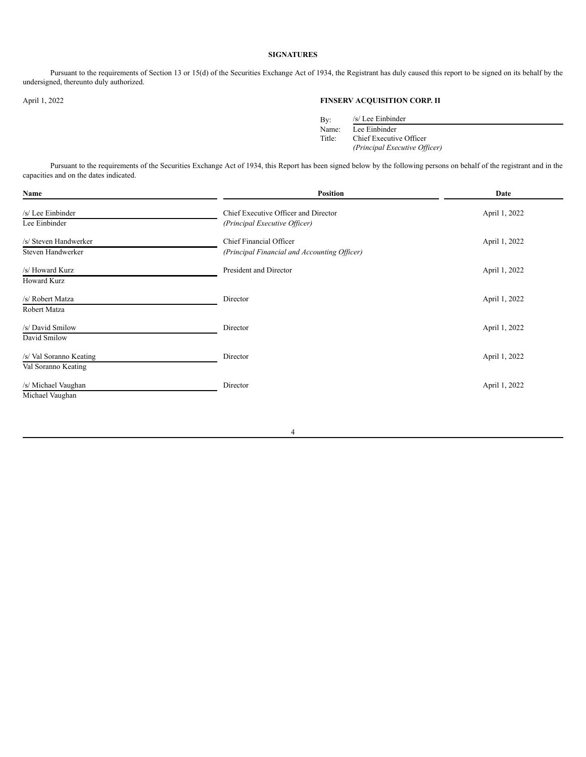## **SIGNATURES**

Pursuant to the requirements of Section 13 or 15(d) of the Securities Exchange Act of 1934, the Registrant has duly caused this report to be signed on its behalf by the undersigned, thereunto duly authorized.

# April 1, 2022 **FINSERV ACQUISITION CORP. II**

| By:    | /s/ Lee Einbinder             |
|--------|-------------------------------|
| Name:  | Lee Einbinder                 |
| Title: | Chief Executive Officer       |
|        | (Principal Executive Officer) |

Pursuant to the requirements of the Securities Exchange Act of 1934, this Report has been signed below by the following persons on behalf of the registrant and in the capacities and on the dates indicated.

| Name                                           | <b>Position</b>                                                         | Date          |
|------------------------------------------------|-------------------------------------------------------------------------|---------------|
| /s/ Lee Einbinder<br>Lee Einbinder             | Chief Executive Officer and Director<br>(Principal Executive Officer)   | April 1, 2022 |
| /s/ Steven Handwerker<br>Steven Handwerker     | Chief Financial Officer<br>(Principal Financial and Accounting Officer) | April 1, 2022 |
| /s/ Howard Kurz<br>Howard Kurz                 | President and Director                                                  | April 1, 2022 |
| /s/ Robert Matza<br>Robert Matza               | Director                                                                | April 1, 2022 |
| /s/ David Smilow<br>David Smilow               | Director                                                                | April 1, 2022 |
| /s/ Val Soranno Keating<br>Val Soranno Keating | Director                                                                | April 1, 2022 |
| /s/ Michael Vaughan<br>Michael Vaughan         | Director                                                                | April 1, 2022 |

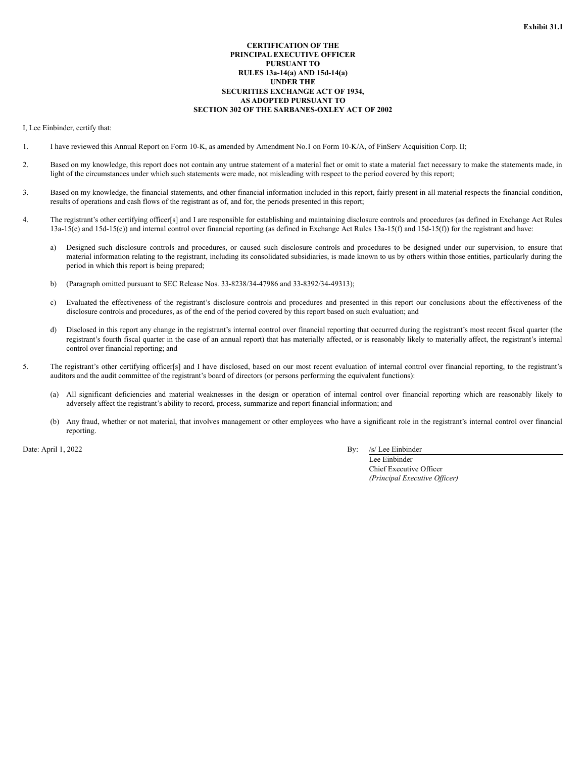### **CERTIFICATION OF THE PRINCIPAL EXECUTIVE OFFICER PURSUANT TO RULES 13a-14(a) AND 15d-14(a) UNDER THE SECURITIES EXCHANGE ACT OF 1934, AS ADOPTED PURSUANT TO SECTION 302 OF THE SARBANES-OXLEY ACT OF 2002**

I, Lee Einbinder, certify that:

- 1. I have reviewed this Annual Report on Form 10-K, as amended by Amendment No.1 on Form 10-K/A, of FinServ Acquisition Corp. II;
- 2. Based on my knowledge, this report does not contain any untrue statement of a material fact or omit to state a material fact necessary to make the statements made, in light of the circumstances under which such statements were made, not misleading with respect to the period covered by this report;
- 3. Based on my knowledge, the financial statements, and other financial information included in this report, fairly present in all material respects the financial condition, results of operations and cash flows of the registrant as of, and for, the periods presented in this report;
- 4. The registrant's other certifying officer[s] and I are responsible for establishing and maintaining disclosure controls and procedures (as defined in Exchange Act Rules  $13a-15(e)$  and  $15d-15(e)$ ) and internal control over financial reporting (as defined in Exchange Act Rules  $13a-15(f)$  and  $15d-15(f)$ ) for the registrant and have:
	- a) Designed such disclosure controls and procedures, or caused such disclosure controls and procedures to be designed under our supervision, to ensure that material information relating to the registrant, including its consolidated subsidiaries, is made known to us by others within those entities, particularly during the period in which this report is being prepared;
	- b) (Paragraph omitted pursuant to SEC Release Nos. 33-8238/34-47986 and 33-8392/34-49313);
	- c) Evaluated the effectiveness of the registrant's disclosure controls and procedures and presented in this report our conclusions about the effectiveness of the disclosure controls and procedures, as of the end of the period covered by this report based on such evaluation; and
	- Disclosed in this report any change in the registrant's internal control over financial reporting that occurred during the registrant's most recent fiscal quarter (the registrant's fourth fiscal quarter in the case of an annual report) that has materially affected, or is reasonably likely to materially affect, the registrant's internal control over financial reporting; and
- 5. The registrant's other certifying officer[s] and I have disclosed, based on our most recent evaluation of internal control over financial reporting, to the registrant's auditors and the audit committee of the registrant's board of directors (or persons performing the equivalent functions):
	- (a) All significant deficiencies and material weaknesses in the design or operation of internal control over financial reporting which are reasonably likely to adversely affect the registrant's ability to record, process, summarize and report financial information; and
	- (b) Any fraud, whether or not material, that involves management or other employees who have a significant role in the registrant's internal control over financial reporting.

### Date: April 1, 2022 By: /s/ Lee Einbinder

Lee Einbinder Chief Executive Officer *(Principal Executive Of icer)*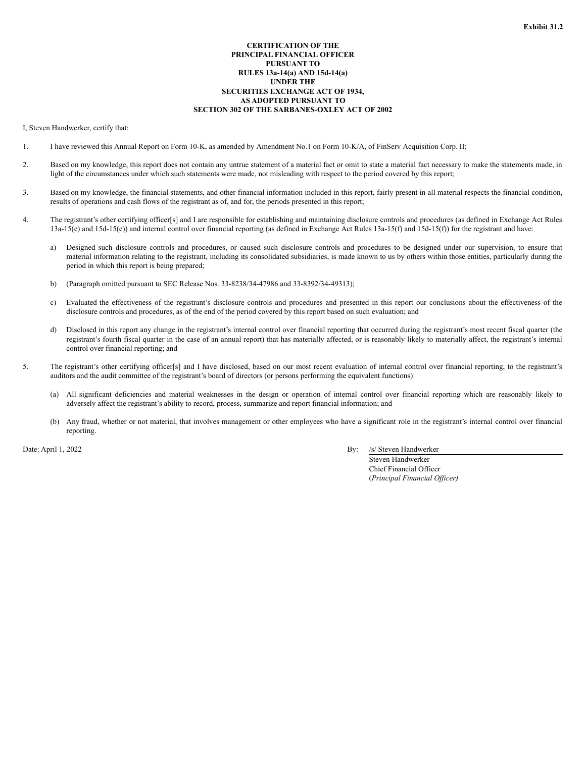### **CERTIFICATION OF THE PRINCIPAL FINANCIAL OFFICER PURSUANT TO RULES 13a-14(a) AND 15d-14(a) UNDER THE SECURITIES EXCHANGE ACT OF 1934, AS ADOPTED PURSUANT TO SECTION 302 OF THE SARBANES-OXLEY ACT OF 2002**

I, Steven Handwerker, certify that:

- 1. I have reviewed this Annual Report on Form 10-K, as amended by Amendment No.1 on Form 10-K/A, of FinServ Acquisition Corp. II;
- 2. Based on my knowledge, this report does not contain any untrue statement of a material fact or omit to state a material fact necessary to make the statements made, in light of the circumstances under which such statements were made, not misleading with respect to the period covered by this report;
- 3. Based on my knowledge, the financial statements, and other financial information included in this report, fairly present in all material respects the financial condition, results of operations and cash flows of the registrant as of, and for, the periods presented in this report;
- 4. The registrant's other certifying officer[s] and I are responsible for establishing and maintaining disclosure controls and procedures (as defined in Exchange Act Rules  $13a-15(e)$  and  $15d-15(e)$ ) and internal control over financial reporting (as defined in Exchange Act Rules  $13a-15(f)$  and  $15d-15(f)$ ) for the registrant and have:
	- a) Designed such disclosure controls and procedures, or caused such disclosure controls and procedures to be designed under our supervision, to ensure that material information relating to the registrant, including its consolidated subsidiaries, is made known to us by others within those entities, particularly during the period in which this report is being prepared;
	- b) (Paragraph omitted pursuant to SEC Release Nos. 33-8238/34-47986 and 33-8392/34-49313);
	- c) Evaluated the effectiveness of the registrant's disclosure controls and procedures and presented in this report our conclusions about the effectiveness of the disclosure controls and procedures, as of the end of the period covered by this report based on such evaluation; and
	- Disclosed in this report any change in the registrant's internal control over financial reporting that occurred during the registrant's most recent fiscal quarter (the registrant's fourth fiscal quarter in the case of an annual report) that has materially affected, or is reasonably likely to materially affect, the registrant's internal control over financial reporting; and
- 5. The registrant's other certifying officer[s] and I have disclosed, based on our most recent evaluation of internal control over financial reporting, to the registrant's auditors and the audit committee of the registrant's board of directors (or persons performing the equivalent functions):
	- (a) All significant deficiencies and material weaknesses in the design or operation of internal control over financial reporting which are reasonably likely to adversely affect the registrant's ability to record, process, summarize and report financial information; and
	- (b) Any fraud, whether or not material, that involves management or other employees who have a significant role in the registrant's internal control over financial reporting.

## Date: April 1, 2022 By: /s/ Steven Handwerker

Steven Handwerker Chief Financial Officer (*Principal Financial Of icer)*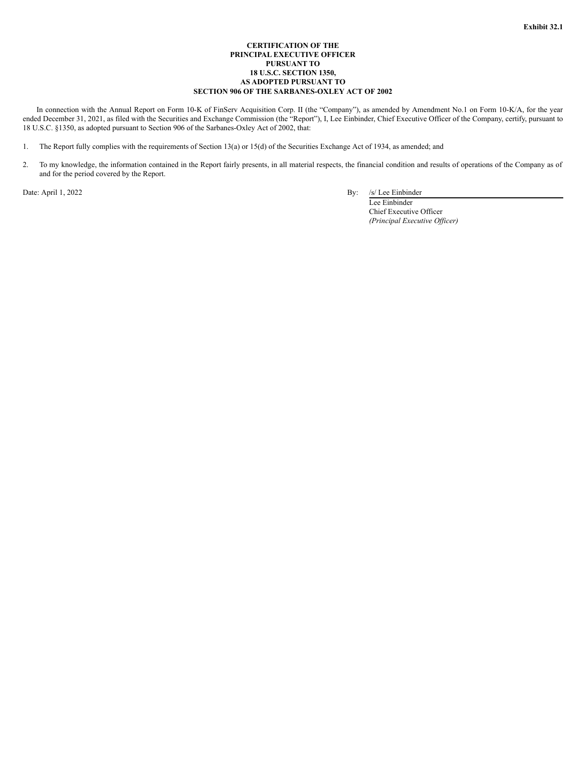### **CERTIFICATION OF THE PRINCIPAL EXECUTIVE OFFICER PURSUANT TO 18 U.S.C. SECTION 1350, AS ADOPTED PURSUANT TO SECTION 906 OF THE SARBANES-OXLEY ACT OF 2002**

In connection with the Annual Report on Form 10-K of FinServ Acquisition Corp. II (the "Company"), as amended by Amendment No.1 on Form 10-K/A, for the year ended December 31, 2021, as filed with the Securities and Exchange Commission (the "Report"), I, Lee Einbinder, Chief Executive Officer of the Company, certify, pursuant to 18 U.S.C. §1350, as adopted pursuant to Section 906 of the Sarbanes-Oxley Act of 2002, that:

1. The Report fully complies with the requirements of Section 13(a) or 15(d) of the Securities Exchange Act of 1934, as amended; and

2. To my knowledge, the information contained in the Report fairly presents, in all material respects, the financial condition and results of operations of the Company as of and for the period covered by the Report.

Date: April 1, 2022 By: /s/ Lee Einbinder

Lee Einbinder Chief Executive Officer *(Principal Executive Of icer)*